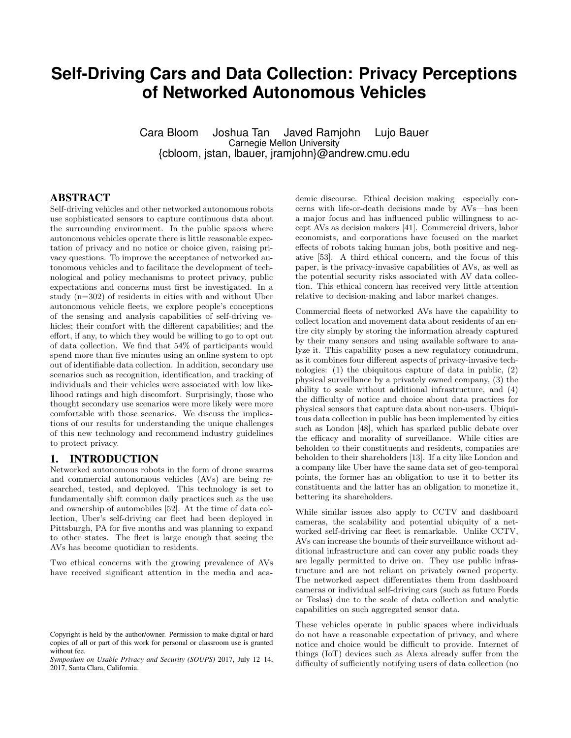# **Self-Driving Cars and Data Collection: Privacy Perceptions of Networked Autonomous Vehicles**

Cara Bloom Joshua Tan Javed Ramjohn Lujo Bauer Carnegie Mellon University {cbloom, jstan, lbauer, jramjohn}@andrew.cmu.edu

### ABSTRACT

Self-driving vehicles and other networked autonomous robots use sophisticated sensors to capture continuous data about the surrounding environment. In the public spaces where autonomous vehicles operate there is little reasonable expectation of privacy and no notice or choice given, raising privacy questions. To improve the acceptance of networked autonomous vehicles and to facilitate the development of technological and policy mechanisms to protect privacy, public expectations and concerns must first be investigated. In a study (n=302) of residents in cities with and without Uber autonomous vehicle fleets, we explore people's conceptions of the sensing and analysis capabilities of self-driving vehicles; their comfort with the different capabilities; and the effort, if any, to which they would be willing to go to opt out of data collection. We find that 54% of participants would spend more than five minutes using an online system to opt out of identifiable data collection. In addition, secondary use scenarios such as recognition, identification, and tracking of individuals and their vehicles were associated with low likelihood ratings and high discomfort. Surprisingly, those who thought secondary use scenarios were more likely were more comfortable with those scenarios. We discuss the implications of our results for understanding the unique challenges of this new technology and recommend industry guidelines to protect privacy.

### 1. INTRODUCTION

Networked autonomous robots in the form of drone swarms and commercial autonomous vehicles (AVs) are being researched, tested, and deployed. This technology is set to fundamentally shift common daily practices such as the use and ownership of automobiles [52]. At the time of data collection, Uber's self-driving car fleet had been deployed in Pittsburgh, PA for five months and was planning to expand to other states. The fleet is large enough that seeing the AVs has become quotidian to residents.

Two ethical concerns with the growing prevalence of AVs have received significant attention in the media and academic discourse. Ethical decision making—especially concerns with life-or-death decisions made by AVs—has been a major focus and has influenced public willingness to accept AVs as decision makers [41]. Commercial drivers, labor economists, and corporations have focused on the market effects of robots taking human jobs, both positive and negative [53]. A third ethical concern, and the focus of this paper, is the privacy-invasive capabilities of AVs, as well as the potential security risks associated with AV data collection. This ethical concern has received very little attention relative to decision-making and labor market changes.

Commercial fleets of networked AVs have the capability to collect location and movement data about residents of an entire city simply by storing the information already captured by their many sensors and using available software to analyze it. This capability poses a new regulatory conundrum, as it combines four different aspects of privacy-invasive technologies: (1) the ubiquitous capture of data in public, (2) physical surveillance by a privately owned company, (3) the ability to scale without additional infrastructure, and (4) the difficulty of notice and choice about data practices for physical sensors that capture data about non-users. Ubiquitous data collection in public has been implemented by cities such as London [48], which has sparked public debate over the efficacy and morality of surveillance. While cities are beholden to their constituents and residents, companies are beholden to their shareholders [13]. If a city like London and a company like Uber have the same data set of geo-temporal points, the former has an obligation to use it to better its constituents and the latter has an obligation to monetize it, bettering its shareholders.

While similar issues also apply to CCTV and dashboard cameras, the scalability and potential ubiquity of a networked self-driving car fleet is remarkable. Unlike CCTV, AVs can increase the bounds of their surveillance without additional infrastructure and can cover any public roads they are legally permitted to drive on. They use public infrastructure and are not reliant on privately owned property. The networked aspect differentiates them from dashboard cameras or individual self-driving cars (such as future Fords or Teslas) due to the scale of data collection and analytic capabilities on such aggregated sensor data.

These vehicles operate in public spaces where individuals do not have a reasonable expectation of privacy, and where notice and choice would be difficult to provide. Internet of things (IoT) devices such as Alexa already suffer from the difficulty of sufficiently notifying users of data collection (no

Copyright is held by the author/owner. Permission to make digital or hard copies of all or part of this work for personal or classroom use is granted without fee.

*Symposium on Usable Privacy and Security (SOUPS)* 2017, July 12–14, 2017, Santa Clara, California.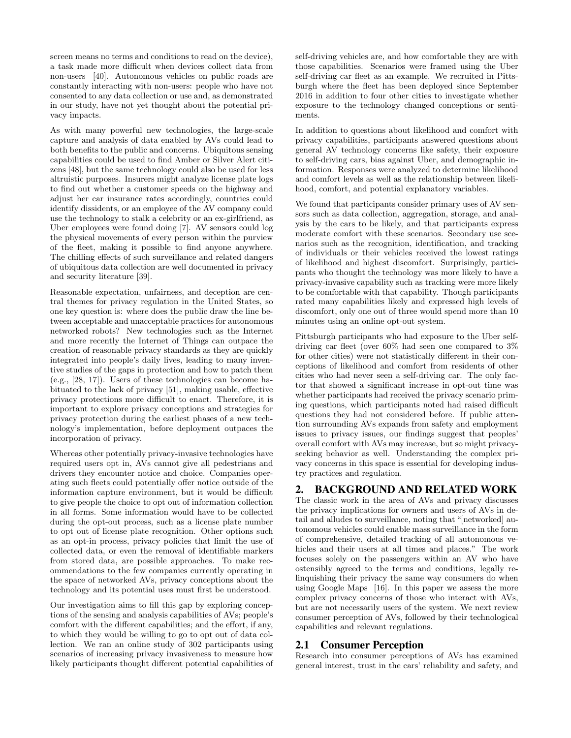screen means no terms and conditions to read on the device), a task made more difficult when devices collect data from non-users [40]. Autonomous vehicles on public roads are constantly interacting with non-users: people who have not consented to any data collection or use and, as demonstrated in our study, have not yet thought about the potential privacy impacts.

As with many powerful new technologies, the large-scale capture and analysis of data enabled by AVs could lead to both benefits to the public and concerns. Ubiquitous sensing capabilities could be used to find Amber or Silver Alert citizens [48], but the same technology could also be used for less altruistic purposes. Insurers might analyze license plate logs to find out whether a customer speeds on the highway and adjust her car insurance rates accordingly, countries could identify dissidents, or an employee of the AV company could use the technology to stalk a celebrity or an ex-girlfriend, as Uber employees were found doing [7]. AV sensors could log the physical movements of every person within the purview of the fleet, making it possible to find anyone anywhere. The chilling effects of such surveillance and related dangers of ubiquitous data collection are well documented in privacy and security literature [39].

Reasonable expectation, unfairness, and deception are central themes for privacy regulation in the United States, so one key question is: where does the public draw the line between acceptable and unacceptable practices for autonomous networked robots? New technologies such as the Internet and more recently the Internet of Things can outpace the creation of reasonable privacy standards as they are quickly integrated into people's daily lives, leading to many inventive studies of the gaps in protection and how to patch them (e.g., [28, 17]). Users of these technologies can become habituated to the lack of privacy [51], making usable, effective privacy protections more difficult to enact. Therefore, it is important to explore privacy conceptions and strategies for privacy protection during the earliest phases of a new technology's implementation, before deployment outpaces the incorporation of privacy.

Whereas other potentially privacy-invasive technologies have required users opt in, AVs cannot give all pedestrians and drivers they encounter notice and choice. Companies operating such fleets could potentially offer notice outside of the information capture environment, but it would be difficult to give people the choice to opt out of information collection in all forms. Some information would have to be collected during the opt-out process, such as a license plate number to opt out of license plate recognition. Other options such as an opt-in process, privacy policies that limit the use of collected data, or even the removal of identifiable markers from stored data, are possible approaches. To make recommendations to the few companies currently operating in the space of networked AVs, privacy conceptions about the technology and its potential uses must first be understood.

Our investigation aims to fill this gap by exploring conceptions of the sensing and analysis capabilities of AVs; people's comfort with the different capabilities; and the effort, if any, to which they would be willing to go to opt out of data collection. We ran an online study of 302 participants using scenarios of increasing privacy invasiveness to measure how likely participants thought different potential capabilities of

self-driving vehicles are, and how comfortable they are with those capabilities. Scenarios were framed using the Uber self-driving car fleet as an example. We recruited in Pittsburgh where the fleet has been deployed since September 2016 in addition to four other cities to investigate whether exposure to the technology changed conceptions or sentiments.

In addition to questions about likelihood and comfort with privacy capabilities, participants answered questions about general AV technology concerns like safety, their exposure to self-driving cars, bias against Uber, and demographic information. Responses were analyzed to determine likelihood and comfort levels as well as the relationship between likelihood, comfort, and potential explanatory variables.

We found that participants consider primary uses of AV sensors such as data collection, aggregation, storage, and analysis by the cars to be likely, and that participants express moderate comfort with these scenarios. Secondary use scenarios such as the recognition, identification, and tracking of individuals or their vehicles received the lowest ratings of likelihood and highest discomfort. Surprisingly, participants who thought the technology was more likely to have a privacy-invasive capability such as tracking were more likely to be comfortable with that capability. Though participants rated many capabilities likely and expressed high levels of discomfort, only one out of three would spend more than 10 minutes using an online opt-out system.

Pittsburgh participants who had exposure to the Uber selfdriving car fleet (over 60% had seen one compared to 3% for other cities) were not statistically different in their conceptions of likelihood and comfort from residents of other cities who had never seen a self-driving car. The only factor that showed a significant increase in opt-out time was whether participants had received the privacy scenario priming questions, which participants noted had raised difficult questions they had not considered before. If public attention surrounding AVs expands from safety and employment issues to privacy issues, our findings suggest that peoples' overall comfort with AVs may increase, but so might privacyseeking behavior as well. Understanding the complex privacy concerns in this space is essential for developing industry practices and regulation.

# 2. BACKGROUND AND RELATED WORK

The classic work in the area of AVs and privacy discusses the privacy implications for owners and users of AVs in detail and alludes to surveillance, noting that "[networked] autonomous vehicles could enable mass surveillance in the form of comprehensive, detailed tracking of all autonomous vehicles and their users at all times and places." The work focuses solely on the passengers within an AV who have ostensibly agreed to the terms and conditions, legally relinquishing their privacy the same way consumers do when using Google Maps [16]. In this paper we assess the more complex privacy concerns of those who interact with AVs, but are not necessarily users of the system. We next review consumer perception of AVs, followed by their technological capabilities and relevant regulations.

# 2.1 Consumer Perception

Research into consumer perceptions of AVs has examined general interest, trust in the cars' reliability and safety, and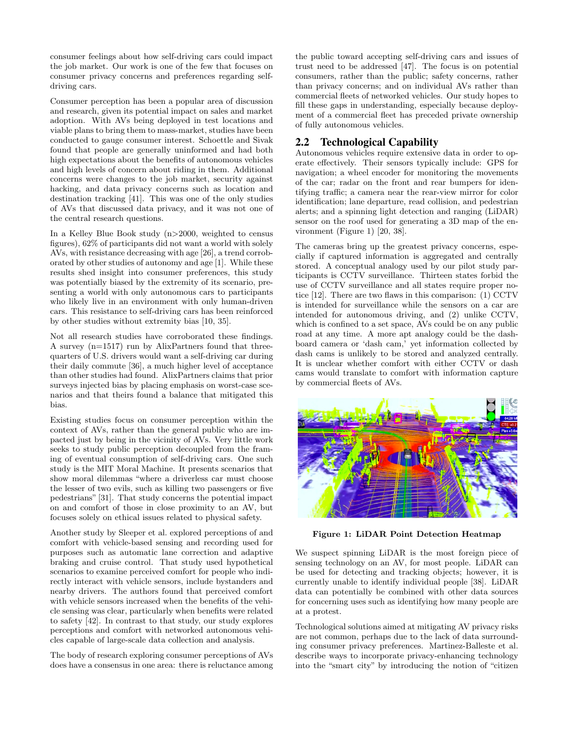consumer feelings about how self-driving cars could impact the job market. Our work is one of the few that focuses on consumer privacy concerns and preferences regarding selfdriving cars.

Consumer perception has been a popular area of discussion and research, given its potential impact on sales and market adoption. With AVs being deployed in test locations and viable plans to bring them to mass-market, studies have been conducted to gauge consumer interest. Schoettle and Sivak found that people are generally uninformed and had both high expectations about the benefits of autonomous vehicles and high levels of concern about riding in them. Additional concerns were changes to the job market, security against hacking, and data privacy concerns such as location and destination tracking [41]. This was one of the only studies of AVs that discussed data privacy, and it was not one of the central research questions.

In a Kelley Blue Book study (n>2000, weighted to census figures), 62% of participants did not want a world with solely AVs, with resistance decreasing with age [26], a trend corroborated by other studies of autonomy and age [1]. While these results shed insight into consumer preferences, this study was potentially biased by the extremity of its scenario, presenting a world with only autonomous cars to participants who likely live in an environment with only human-driven cars. This resistance to self-driving cars has been reinforced by other studies without extremity bias [10, 35].

Not all research studies have corroborated these findings. A survey (n=1517) run by AlixPartners found that threequarters of U.S. drivers would want a self-driving car during their daily commute [36], a much higher level of acceptance than other studies had found. AlixPartners claims that prior surveys injected bias by placing emphasis on worst-case scenarios and that theirs found a balance that mitigated this bias.

Existing studies focus on consumer perception within the context of AVs, rather than the general public who are impacted just by being in the vicinity of AVs. Very little work seeks to study public perception decoupled from the framing of eventual consumption of self-driving cars. One such study is the MIT Moral Machine. It presents scenarios that show moral dilemmas "where a driverless car must choose the lesser of two evils, such as killing two passengers or five pedestrians" [31]. That study concerns the potential impact on and comfort of those in close proximity to an AV, but focuses solely on ethical issues related to physical safety.

Another study by Sleeper et al. explored perceptions of and comfort with vehicle-based sensing and recording used for purposes such as automatic lane correction and adaptive braking and cruise control. That study used hypothetical scenarios to examine perceived comfort for people who indirectly interact with vehicle sensors, include bystanders and nearby drivers. The authors found that perceived comfort with vehicle sensors increased when the benefits of the vehicle sensing was clear, particularly when benefits were related to safety [42]. In contrast to that study, our study explores perceptions and comfort with networked autonomous vehicles capable of large-scale data collection and analysis.

The body of research exploring consumer perceptions of AVs does have a consensus in one area: there is reluctance among the public toward accepting self-driving cars and issues of trust need to be addressed [47]. The focus is on potential consumers, rather than the public; safety concerns, rather than privacy concerns; and on individual AVs rather than commercial fleets of networked vehicles. Our study hopes to fill these gaps in understanding, especially because deployment of a commercial fleet has preceded private ownership of fully autonomous vehicles.

# 2.2 Technological Capability

Autonomous vehicles require extensive data in order to operate effectively. Their sensors typically include: GPS for navigation; a wheel encoder for monitoring the movements of the car; radar on the front and rear bumpers for identifying traffic; a camera near the rear-view mirror for color identification; lane departure, read collision, and pedestrian alerts; and a spinning light detection and ranging (LiDAR) sensor on the roof used for generating a 3D map of the environment (Figure 1) [20, 38].

The cameras bring up the greatest privacy concerns, especially if captured information is aggregated and centrally stored. A conceptual analogy used by our pilot study participants is CCTV surveillance. Thirteen states forbid the use of CCTV surveillance and all states require proper notice [12]. There are two flaws in this comparison: (1) CCTV is intended for surveillance while the sensors on a car are intended for autonomous driving, and (2) unlike CCTV, which is confined to a set space, AVs could be on any public road at any time. A more apt analogy could be the dashboard camera or 'dash cam,' yet information collected by dash cams is unlikely to be stored and analyzed centrally. It is unclear whether comfort with either CCTV or dash cams would translate to comfort with information capture by commercial fleets of AVs.



Figure 1: LiDAR Point Detection Heatmap

We suspect spinning LiDAR is the most foreign piece of sensing technology on an AV, for most people. LiDAR can be used for detecting and tracking objects; however, it is currently unable to identify individual people [38]. LiDAR data can potentially be combined with other data sources for concerning uses such as identifying how many people are at a protest.

Technological solutions aimed at mitigating AV privacy risks are not common, perhaps due to the lack of data surrounding consumer privacy preferences. Martinez-Balleste et al. describe ways to incorporate privacy-enhancing technology into the "smart city" by introducing the notion of "citizen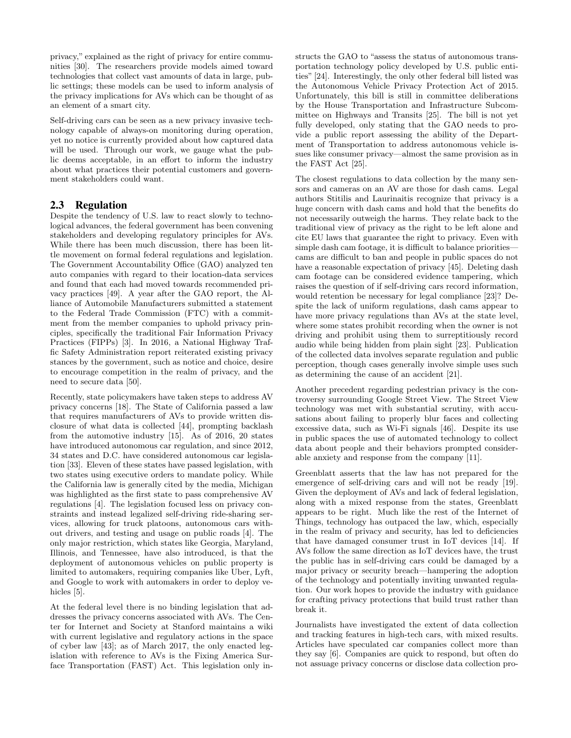privacy," explained as the right of privacy for entire communities [30]. The researchers provide models aimed toward technologies that collect vast amounts of data in large, public settings; these models can be used to inform analysis of the privacy implications for AVs which can be thought of as an element of a smart city.

Self-driving cars can be seen as a new privacy invasive technology capable of always-on monitoring during operation, yet no notice is currently provided about how captured data will be used. Through our work, we gauge what the public deems acceptable, in an effort to inform the industry about what practices their potential customers and government stakeholders could want.

# 2.3 Regulation

Despite the tendency of U.S. law to react slowly to technological advances, the federal government has been convening stakeholders and developing regulatory principles for AVs. While there has been much discussion, there has been little movement on formal federal regulations and legislation. The Government Accountability Office (GAO) analyzed ten auto companies with regard to their location-data services and found that each had moved towards recommended privacy practices [49]. A year after the GAO report, the Alliance of Automobile Manufacturers submitted a statement to the Federal Trade Commission (FTC) with a commitment from the member companies to uphold privacy principles, specifically the traditional Fair Information Privacy Practices (FIPPs) [3]. In 2016, a National Highway Traffic Safety Administration report reiterated existing privacy stances by the government, such as notice and choice, desire to encourage competition in the realm of privacy, and the need to secure data [50].

Recently, state policymakers have taken steps to address AV privacy concerns [18]. The State of California passed a law that requires manufacturers of AVs to provide written disclosure of what data is collected [44], prompting backlash from the automotive industry [15]. As of 2016, 20 states have introduced autonomous car regulation, and since 2012, 34 states and D.C. have considered autonomous car legislation [33]. Eleven of these states have passed legislation, with two states using executive orders to mandate policy. While the California law is generally cited by the media, Michigan was highlighted as the first state to pass comprehensive AV regulations [4]. The legislation focused less on privacy constraints and instead legalized self-driving ride-sharing services, allowing for truck platoons, autonomous cars without drivers, and testing and usage on public roads [4]. The only major restriction, which states like Georgia, Maryland, Illinois, and Tennessee, have also introduced, is that the deployment of autonomous vehicles on public property is limited to automakers, requiring companies like Uber, Lyft, and Google to work with automakers in order to deploy vehicles [5].

At the federal level there is no binding legislation that addresses the privacy concerns associated with AVs. The Center for Internet and Society at Stanford maintains a wiki with current legislative and regulatory actions in the space of cyber law [43]; as of March 2017, the only enacted legislation with reference to AVs is the Fixing America Surface Transportation (FAST) Act. This legislation only instructs the GAO to "assess the status of autonomous transportation technology policy developed by U.S. public entities" [24]. Interestingly, the only other federal bill listed was the Autonomous Vehicle Privacy Protection Act of 2015. Unfortunately, this bill is still in committee deliberations by the House Transportation and Infrastructure Subcommittee on Highways and Transits [25]. The bill is not yet fully developed, only stating that the GAO needs to provide a public report assessing the ability of the Department of Transportation to address autonomous vehicle issues like consumer privacy—almost the same provision as in the FAST Act [25].

The closest regulations to data collection by the many sensors and cameras on an AV are those for dash cams. Legal authors Stitilis and Laurinaitis recognize that privacy is a huge concern with dash cams and hold that the benefits do not necessarily outweigh the harms. They relate back to the traditional view of privacy as the right to be left alone and cite EU laws that guarantee the right to privacy. Even with simple dash cam footage, it is difficult to balance priorities cams are difficult to ban and people in public spaces do not have a reasonable expectation of privacy [45]. Deleting dash cam footage can be considered evidence tampering, which raises the question of if self-driving cars record information, would retention be necessary for legal compliance [23]? Despite the lack of uniform regulations, dash cams appear to have more privacy regulations than AVs at the state level, where some states prohibit recording when the owner is not driving and prohibit using them to surreptitiously record audio while being hidden from plain sight [23]. Publication of the collected data involves separate regulation and public perception, though cases generally involve simple uses such as determining the cause of an accident [21].

Another precedent regarding pedestrian privacy is the controversy surrounding Google Street View. The Street View technology was met with substantial scrutiny, with accusations about failing to properly blur faces and collecting excessive data, such as Wi-Fi signals [46]. Despite its use in public spaces the use of automated technology to collect data about people and their behaviors prompted considerable anxiety and response from the company [11].

Greenblatt asserts that the law has not prepared for the emergence of self-driving cars and will not be ready [19]. Given the deployment of AVs and lack of federal legislation, along with a mixed response from the states, Greenblatt appears to be right. Much like the rest of the Internet of Things, technology has outpaced the law, which, especially in the realm of privacy and security, has led to deficiencies that have damaged consumer trust in IoT devices [14]. If AVs follow the same direction as IoT devices have, the trust the public has in self-driving cars could be damaged by a major privacy or security breach—hampering the adoption of the technology and potentially inviting unwanted regulation. Our work hopes to provide the industry with guidance for crafting privacy protections that build trust rather than break it.

Journalists have investigated the extent of data collection and tracking features in high-tech cars, with mixed results. Articles have speculated car companies collect more than they say [6]. Companies are quick to respond, but often do not assuage privacy concerns or disclose data collection pro-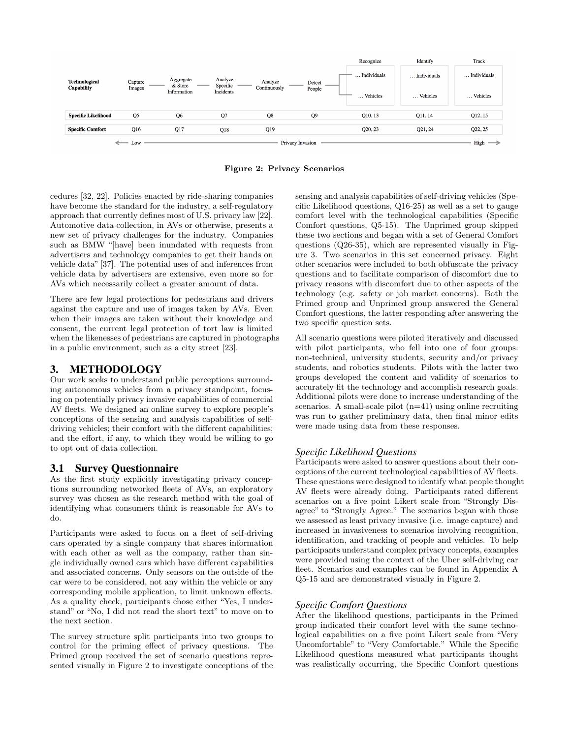

Figure 2: Privacy Scenarios

cedures [32, 22]. Policies enacted by ride-sharing companies have become the standard for the industry, a self-regulatory approach that currently defines most of U.S. privacy law [22]. Automotive data collection, in AVs or otherwise, presents a new set of privacy challenges for the industry. Companies such as BMW "[have] been inundated with requests from advertisers and technology companies to get their hands on vehicle data" [37]. The potential uses of and inferences from vehicle data by advertisers are extensive, even more so for AVs which necessarily collect a greater amount of data.

There are few legal protections for pedestrians and drivers against the capture and use of images taken by AVs. Even when their images are taken without their knowledge and consent, the current legal protection of tort law is limited when the likenesses of pedestrians are captured in photographs in a public environment, such as a city street [23].

# 3. METHODOLOGY

Our work seeks to understand public perceptions surrounding autonomous vehicles from a privacy standpoint, focusing on potentially privacy invasive capabilities of commercial AV fleets. We designed an online survey to explore people's conceptions of the sensing and analysis capabilities of selfdriving vehicles; their comfort with the different capabilities; and the effort, if any, to which they would be willing to go to opt out of data collection.

# 3.1 Survey Questionnaire

As the first study explicitly investigating privacy conceptions surrounding networked fleets of AVs, an exploratory survey was chosen as the research method with the goal of identifying what consumers think is reasonable for AVs to do.

Participants were asked to focus on a fleet of self-driving cars operated by a single company that shares information with each other as well as the company, rather than single individually owned cars which have different capabilities and associated concerns. Only sensors on the outside of the car were to be considered, not any within the vehicle or any corresponding mobile application, to limit unknown effects. As a quality check, participants chose either "Yes, I understand" or "No, I did not read the short text" to move on to the next section.

The survey structure split participants into two groups to control for the priming effect of privacy questions. The Primed group received the set of scenario questions represented visually in Figure 2 to investigate conceptions of the

sensing and analysis capabilities of self-driving vehicles (Specific Likelihood questions, Q16-25) as well as a set to gauge comfort level with the technological capabilities (Specific Comfort questions, Q5-15). The Unprimed group skipped these two sections and began with a set of General Comfort questions (Q26-35), which are represented visually in Figure 3. Two scenarios in this set concerned privacy. Eight other scenarios were included to both obfuscate the privacy questions and to facilitate comparison of discomfort due to privacy reasons with discomfort due to other aspects of the technology (e.g. safety or job market concerns). Both the Primed group and Unprimed group answered the General Comfort questions, the latter responding after answering the two specific question sets.

All scenario questions were piloted iteratively and discussed with pilot participants, who fell into one of four groups: non-technical, university students, security and/or privacy students, and robotics students. Pilots with the latter two groups developed the content and validity of scenarios to accurately fit the technology and accomplish research goals. Additional pilots were done to increase understanding of the scenarios. A small-scale pilot  $(n=41)$  using online recruiting was run to gather preliminary data, then final minor edits were made using data from these responses.

# *Specific Likelihood Questions*

Participants were asked to answer questions about their conceptions of the current technological capabilities of AV fleets. These questions were designed to identify what people thought AV fleets were already doing. Participants rated different scenarios on a five point Likert scale from "Strongly Disagree" to "Strongly Agree." The scenarios began with those we assessed as least privacy invasive (i.e. image capture) and increased in invasiveness to scenarios involving recognition, identification, and tracking of people and vehicles. To help participants understand complex privacy concepts, examples were provided using the context of the Uber self-driving car fleet. Scenarios and examples can be found in Appendix A Q5-15 and are demonstrated visually in Figure 2.

# *Specific Comfort Questions*

After the likelihood questions, participants in the Primed group indicated their comfort level with the same technological capabilities on a five point Likert scale from "Very Uncomfortable" to "Very Comfortable." While the Specific Likelihood questions measured what participants thought was realistically occurring, the Specific Comfort questions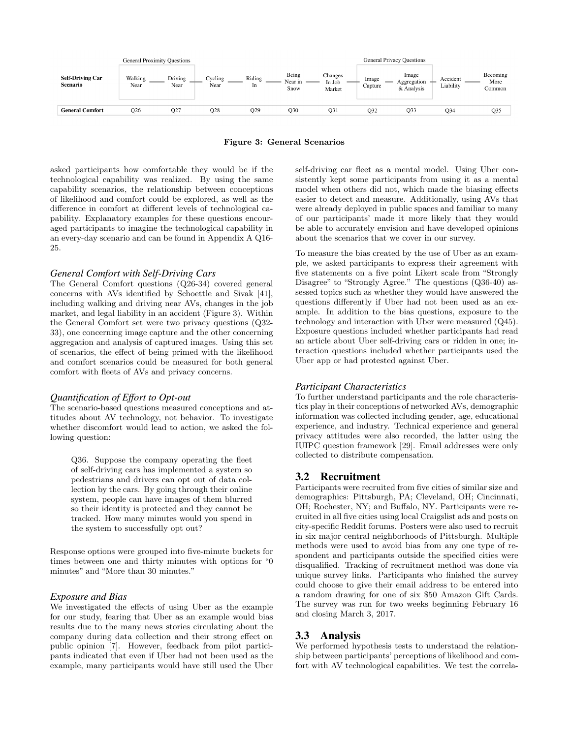

Figure 3: General Scenarios

asked participants how comfortable they would be if the technological capability was realized. By using the same capability scenarios, the relationship between conceptions of likelihood and comfort could be explored, as well as the difference in comfort at different levels of technological capability. Explanatory examples for these questions encouraged participants to imagine the technological capability in an every-day scenario and can be found in Appendix A Q16- 25.

#### *General Comfort with Self-Driving Cars*

The General Comfort questions (Q26-34) covered general concerns with AVs identified by Schoettle and Sivak [41], including walking and driving near AVs, changes in the job market, and legal liability in an accident (Figure 3). Within the General Comfort set were two privacy questions (Q32- 33), one concerning image capture and the other concerning aggregation and analysis of captured images. Using this set of scenarios, the effect of being primed with the likelihood and comfort scenarios could be measured for both general comfort with fleets of AVs and privacy concerns.

#### *Quantification of Effort to Opt-out*

The scenario-based questions measured conceptions and attitudes about AV technology, not behavior. To investigate whether discomfort would lead to action, we asked the following question:

Q36. Suppose the company operating the fleet of self-driving cars has implemented a system so pedestrians and drivers can opt out of data collection by the cars. By going through their online system, people can have images of them blurred so their identity is protected and they cannot be tracked. How many minutes would you spend in the system to successfully opt out?

Response options were grouped into five-minute buckets for times between one and thirty minutes with options for "0 minutes" and "More than 30 minutes."

#### *Exposure and Bias*

We investigated the effects of using Uber as the example for our study, fearing that Uber as an example would bias results due to the many news stories circulating about the company during data collection and their strong effect on public opinion [7]. However, feedback from pilot participants indicated that even if Uber had not been used as the example, many participants would have still used the Uber

self-driving car fleet as a mental model. Using Uber consistently kept some participants from using it as a mental model when others did not, which made the biasing effects easier to detect and measure. Additionally, using AVs that were already deployed in public spaces and familiar to many of our participants' made it more likely that they would be able to accurately envision and have developed opinions about the scenarios that we cover in our survey.

To measure the bias created by the use of Uber as an example, we asked participants to express their agreement with five statements on a five point Likert scale from "Strongly Disagree" to "Strongly Agree." The questions (Q36-40) assessed topics such as whether they would have answered the questions differently if Uber had not been used as an example. In addition to the bias questions, exposure to the technology and interaction with Uber were measured (Q45). Exposure questions included whether participants had read an article about Uber self-driving cars or ridden in one; interaction questions included whether participants used the Uber app or had protested against Uber.

#### *Participant Characteristics*

To further understand participants and the role characteristics play in their conceptions of networked AVs, demographic information was collected including gender, age, educational experience, and industry. Technical experience and general privacy attitudes were also recorded, the latter using the IUIPC question framework [29]. Email addresses were only collected to distribute compensation.

#### 3.2 Recruitment

Participants were recruited from five cities of similar size and demographics: Pittsburgh, PA; Cleveland, OH; Cincinnati, OH; Rochester, NY; and Buffalo, NY. Participants were recruited in all five cities using local Craigslist ads and posts on city-specific Reddit forums. Posters were also used to recruit in six major central neighborhoods of Pittsburgh. Multiple methods were used to avoid bias from any one type of respondent and participants outside the specified cities were disqualified. Tracking of recruitment method was done via unique survey links. Participants who finished the survey could choose to give their email address to be entered into a random drawing for one of six \$50 Amazon Gift Cards. The survey was run for two weeks beginning February 16 and closing March 3, 2017.

#### 3.3 Analysis

We performed hypothesis tests to understand the relationship between participants' perceptions of likelihood and comfort with AV technological capabilities. We test the correla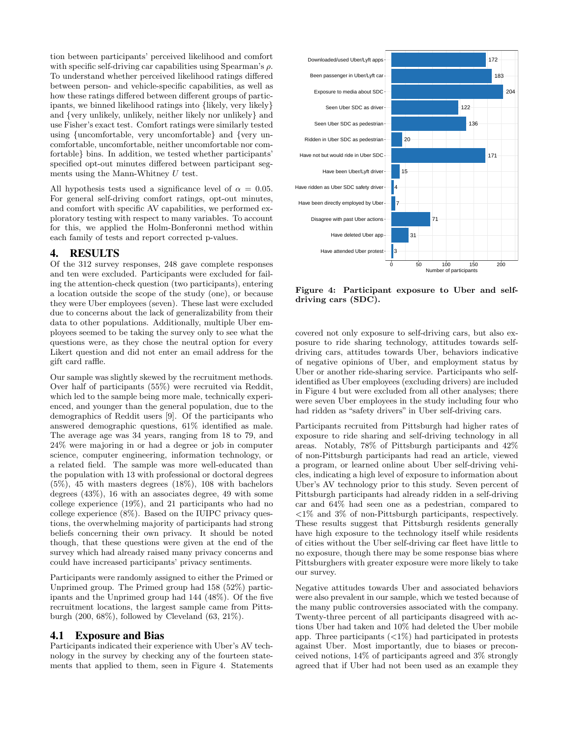tion between participants' perceived likelihood and comfort with specific self-driving car capabilities using Spearman's  $\rho$ . To understand whether perceived likelihood ratings differed between person- and vehicle-specific capabilities, as well as how these ratings differed between different groups of participants, we binned likelihood ratings into {likely, very likely} and {very unlikely, unlikely, neither likely nor unlikely} and use Fisher's exact test. Comfort ratings were similarly tested using {uncomfortable, very uncomfortable} and {very uncomfortable, uncomfortable, neither uncomfortable nor comfortable} bins. In addition, we tested whether participants' specified opt-out minutes differed between participant segments using the Mann-Whitney  $U$  test.

All hypothesis tests used a significance level of  $\alpha = 0.05$ . For general self-driving comfort ratings, opt-out minutes, and comfort with specific AV capabilities, we performed exploratory testing with respect to many variables. To account for this, we applied the Holm-Bonferonni method within each family of tests and report corrected p-values.

### 4. RESULTS

Of the 312 survey responses, 248 gave complete responses and ten were excluded. Participants were excluded for failing the attention-check question (two participants), entering a location outside the scope of the study (one), or because they were Uber employees (seven). These last were excluded due to concerns about the lack of generalizability from their data to other populations. Additionally, multiple Uber employees seemed to be taking the survey only to see what the questions were, as they chose the neutral option for every Likert question and did not enter an email address for the gift card raffle.

Our sample was slightly skewed by the recruitment methods. Over half of participants (55%) were recruited via Reddit, which led to the sample being more male, technically experienced, and younger than the general population, due to the demographics of Reddit users [9]. Of the participants who answered demographic questions, 61% identified as male. The average age was 34 years, ranging from 18 to 79, and 24% were majoring in or had a degree or job in computer science, computer engineering, information technology, or a related field. The sample was more well-educated than the population with 13 with professional or doctoral degrees (5%), 45 with masters degrees (18%), 108 with bachelors degrees (43%), 16 with an associates degree, 49 with some college experience (19%), and 21 participants who had no college experience (8%). Based on the IUIPC privacy questions, the overwhelming majority of participants had strong beliefs concerning their own privacy. It should be noted though, that these questions were given at the end of the survey which had already raised many privacy concerns and could have increased participants' privacy sentiments.

Participants were randomly assigned to either the Primed or Unprimed group. The Primed group had 158 (52%) participants and the Unprimed group had 144 (48%). Of the five recruitment locations, the largest sample came from Pittsburgh (200, 68%), followed by Cleveland (63, 21%).

### 4.1 Exposure and Bias

Participants indicated their experience with Uber's AV technology in the survey by checking any of the fourteen statements that applied to them, seen in Figure 4. Statements



Figure 4: Participant exposure to Uber and selfdriving cars (SDC).

covered not only exposure to self-driving cars, but also exposure to ride sharing technology, attitudes towards selfdriving cars, attitudes towards Uber, behaviors indicative of negative opinions of Uber, and employment status by Uber or another ride-sharing service. Participants who selfidentified as Uber employees (excluding drivers) are included in Figure 4 but were excluded from all other analyses; there were seven Uber employees in the study including four who had ridden as "safety drivers" in Uber self-driving cars.

Participants recruited from Pittsburgh had higher rates of exposure to ride sharing and self-driving technology in all areas. Notably, 78% of Pittsburgh participants and 42% of non-Pittsburgh participants had read an article, viewed a program, or learned online about Uber self-driving vehicles, indicating a high level of exposure to information about Uber's AV technology prior to this study. Seven percent of Pittsburgh participants had already ridden in a self-driving car and 64% had seen one as a pedestrian, compared to <1% and 3% of non-Pittsburgh participants, respectively. These results suggest that Pittsburgh residents generally have high exposure to the technology itself while residents of cities without the Uber self-driving car fleet have little to no exposure, though there may be some response bias where Pittsburghers with greater exposure were more likely to take our survey.

Negative attitudes towards Uber and associated behaviors were also prevalent in our sample, which we tested because of the many public controversies associated with the company. Twenty-three percent of all participants disagreed with actions Uber had taken and 10% had deleted the Uber mobile app. Three participants  $\left\langle \langle 1\% \rangle \right\rangle$  had participated in protests against Uber. Most importantly, due to biases or preconceived notions, 14% of participants agreed and 3% strongly agreed that if Uber had not been used as an example they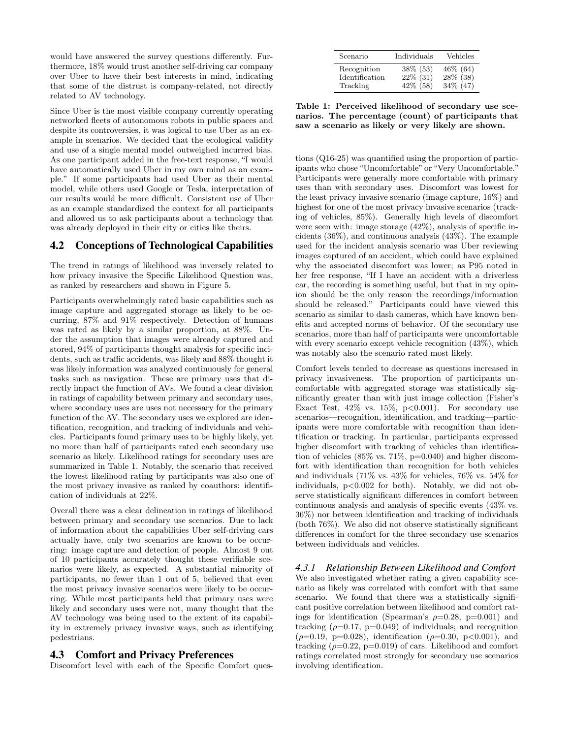would have answered the survey questions differently. Furthermore, 18% would trust another self-driving car company over Uber to have their best interests in mind, indicating that some of the distrust is company-related, not directly related to AV technology.

Since Uber is the most visible company currently operating networked fleets of autonomous robots in public spaces and despite its controversies, it was logical to use Uber as an example in scenarios. We decided that the ecological validity and use of a single mental model outweighed incurred bias. As one participant added in the free-text response, "I would have automatically used Uber in my own mind as an example." If some participants had used Uber as their mental model, while others used Google or Tesla, interpretation of our results would be more difficult. Consistent use of Uber as an example standardized the context for all participants and allowed us to ask participants about a technology that was already deployed in their city or cities like theirs.

# 4.2 Conceptions of Technological Capabilities

The trend in ratings of likelihood was inversely related to how privacy invasive the Specific Likelihood Question was, as ranked by researchers and shown in Figure 5.

Participants overwhelmingly rated basic capabilities such as image capture and aggregated storage as likely to be occurring, 87% and 91% respectively. Detection of humans was rated as likely by a similar proportion, at 88%. Under the assumption that images were already captured and stored, 94% of participants thought analysis for specific incidents, such as traffic accidents, was likely and 88% thought it was likely information was analyzed continuously for general tasks such as navigation. These are primary uses that directly impact the function of AVs. We found a clear division in ratings of capability between primary and secondary uses, where secondary uses are uses not necessary for the primary function of the AV. The secondary uses we explored are identification, recognition, and tracking of individuals and vehicles. Participants found primary uses to be highly likely, yet no more than half of participants rated each secondary use scenario as likely. Likelihood ratings for secondary uses are summarized in Table 1. Notably, the scenario that received the lowest likelihood rating by participants was also one of the most privacy invasive as ranked by coauthors: identification of individuals at 22%.

Overall there was a clear delineation in ratings of likelihood between primary and secondary use scenarios. Due to lack of information about the capabilities Uber self-driving cars actually have, only two scenarios are known to be occurring: image capture and detection of people. Almost 9 out of 10 participants accurately thought these verifiable scenarios were likely, as expected. A substantial minority of participants, no fewer than 1 out of 5, believed that even the most privacy invasive scenarios were likely to be occurring. While most participants held that primary uses were likely and secondary uses were not, many thought that the AV technology was being used to the extent of its capability in extremely privacy invasive ways, such as identifying pedestrians.

### 4.3 Comfort and Privacy Preferences

Discomfort level with each of the Specific Comfort ques-

| Scenario       | Individuals | Vehicles  |
|----------------|-------------|-----------|
| Recognition    | $38\%$ (53) | 46\% (64) |
| Identification | $22\%$ (31) | 28% (38)  |
| Tracking       | 42\% (58)   | 34% (47)  |

Table 1: Perceived likelihood of secondary use scenarios. The percentage (count) of participants that saw a scenario as likely or very likely are shown.

tions (Q16-25) was quantified using the proportion of participants who chose "Uncomfortable" or "Very Uncomfortable." Participants were generally more comfortable with primary uses than with secondary uses. Discomfort was lowest for the least privacy invasive scenario (image capture, 16%) and highest for one of the most privacy invasive scenarios (tracking of vehicles, 85%). Generally high levels of discomfort were seen with: image storage (42%), analysis of specific incidents (36%), and continuous analysis (43%). The example used for the incident analysis scenario was Uber reviewing images captured of an accident, which could have explained why the associated discomfort was lower; as P95 noted in her free response, "If I have an accident with a driverless car, the recording is something useful, but that in my opinion should be the only reason the recordings/information should be released." Participants could have viewed this scenario as similar to dash cameras, which have known benefits and accepted norms of behavior. Of the secondary use scenarios, more than half of participants were uncomfortable with every scenario except vehicle recognition  $(43\%)$ , which was notably also the scenario rated most likely.

Comfort levels tended to decrease as questions increased in privacy invasiveness. The proportion of participants uncomfortable with aggregated storage was statistically significantly greater than with just image collection (Fisher's Exact Test,  $42\%$  vs.  $15\%$ ,  $p<0.001$ ). For secondary use scenarios—recognition, identification, and tracking—participants were more comfortable with recognition than identification or tracking. In particular, participants expressed higher discomfort with tracking of vehicles than identification of vehicles  $(85\% \text{ vs. } 71\%, \text{ p=0.040})$  and higher discomfort with identification than recognition for both vehicles and individuals (71% vs. 43% for vehicles, 76% vs. 54% for individuals, p<0.002 for both). Notably, we did not observe statistically significant differences in comfort between continuous analysis and analysis of specific events (43% vs. 36%) nor between identification and tracking of individuals (both 76%). We also did not observe statistically significant differences in comfort for the three secondary use scenarios between individuals and vehicles.

### *4.3.1 Relationship Between Likelihood and Comfort*

We also investigated whether rating a given capability scenario as likely was correlated with comfort with that same scenario. We found that there was a statistically significant positive correlation between likelihood and comfort ratings for identification (Spearman's  $\rho=0.28$ , p=0.001) and tracking ( $\rho$ =0.17, p=0.049) of individuals; and recognition  $(\rho=0.19, p=0.028)$ , identification  $(\rho=0.30, p<0.001)$ , and tracking  $(\rho=0.22, p=0.019)$  of cars. Likelihood and comfort ratings correlated most strongly for secondary use scenarios involving identification.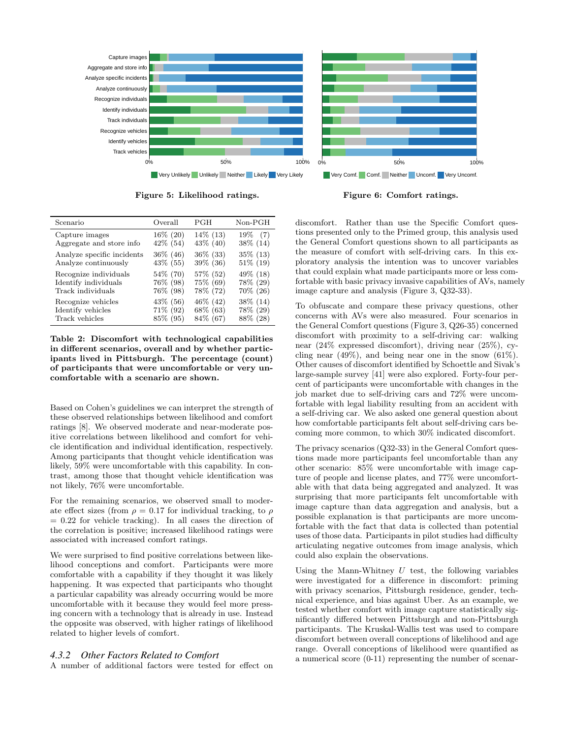

Figure 5: Likelihood ratings.

Figure 6: Comfort ratings.

| Scenario                   | Overall     | PGH         | $Non-PGH$   |
|----------------------------|-------------|-------------|-------------|
| Capture images             | $16\%$ (20) | $14\%$ (13) | $19\%$ (7)  |
| Aggregate and store info   | 42\% (54)   | 43\% (40)   | $38\%$ (14) |
| Analyze specific incidents | $36\%$ (46) | $36\%$ (33) | 35\% (13)   |
| Analyze continuously       | 43\% (55)   | 39% (36)    | $51\%$ (19) |
| Recognize individuals      | 54\% (70)   | 57\% (52)   | 49\% (18)   |
| Identify individuals       | 76% (98)    | 75% (69)    | 78% (29)    |
| Track individuals          | 76\% (98)   | 78% (72)    | 70% (26)    |
| Recognize vehicles         | 43\% (56)   | 46\% (42)   | $38\%$ (14) |
| Identify vehicles          | 71% (92)    | 68% (63)    | 78% (29)    |
| Track vehicles             | 85\% (95)   | 84\% (67)   | 88\% (28)   |

Table 2: Discomfort with technological capabilities in different scenarios, overall and by whether participants lived in Pittsburgh. The percentage (count) of participants that were uncomfortable or very uncomfortable with a scenario are shown.

Based on Cohen's guidelines we can interpret the strength of these observed relationships between likelihood and comfort ratings [8]. We observed moderate and near-moderate positive correlations between likelihood and comfort for vehicle identification and individual identification, respectively. Among participants that thought vehicle identification was likely, 59% were uncomfortable with this capability. In contrast, among those that thought vehicle identification was not likely, 76% were uncomfortable.

For the remaining scenarios, we observed small to moderate effect sizes (from  $\rho = 0.17$  for individual tracking, to  $\rho$  $= 0.22$  for vehicle tracking). In all cases the direction of the correlation is positive; increased likelihood ratings were associated with increased comfort ratings.

We were surprised to find positive correlations between likelihood conceptions and comfort. Participants were more comfortable with a capability if they thought it was likely happening. It was expected that participants who thought a particular capability was already occurring would be more uncomfortable with it because they would feel more pressing concern with a technology that is already in use. Instead the opposite was observed, with higher ratings of likelihood related to higher levels of comfort.

### *4.3.2 Other Factors Related to Comfort*

A number of additional factors were tested for effect on

discomfort. Rather than use the Specific Comfort questions presented only to the Primed group, this analysis used the General Comfort questions shown to all participants as the measure of comfort with self-driving cars. In this exploratory analysis the intention was to uncover variables that could explain what made participants more or less comfortable with basic privacy invasive capabilities of AVs, namely image capture and analysis (Figure 3, Q32-33).

To obfuscate and compare these privacy questions, other concerns with AVs were also measured. Four scenarios in the General Comfort questions (Figure 3, Q26-35) concerned discomfort with proximity to a self-driving car: walking near (24% expressed discomfort), driving near (25%), cycling near  $(49\%)$ , and being near one in the snow  $(61\%)$ . Other causes of discomfort identified by Schoettle and Sivak's large-sample survey [41] were also explored. Forty-four percent of participants were uncomfortable with changes in the job market due to self-driving cars and 72% were uncomfortable with legal liability resulting from an accident with a self-driving car. We also asked one general question about how comfortable participants felt about self-driving cars becoming more common, to which 30% indicated discomfort.

The privacy scenarios (Q32-33) in the General Comfort questions made more participants feel uncomfortable than any other scenario: 85% were uncomfortable with image capture of people and license plates, and 77% were uncomfortable with that data being aggregated and analyzed. It was surprising that more participants felt uncomfortable with image capture than data aggregation and analysis, but a possible explanation is that participants are more uncomfortable with the fact that data is collected than potential uses of those data. Participants in pilot studies had difficulty articulating negative outcomes from image analysis, which could also explain the observations.

Using the Mann-Whitney  $U$  test, the following variables were investigated for a difference in discomfort: priming with privacy scenarios, Pittsburgh residence, gender, technical experience, and bias against Uber. As an example, we tested whether comfort with image capture statistically significantly differed between Pittsburgh and non-Pittsburgh participants. The Kruskal-Wallis test was used to compare discomfort between overall conceptions of likelihood and age range. Overall conceptions of likelihood were quantified as a numerical score (0-11) representing the number of scenar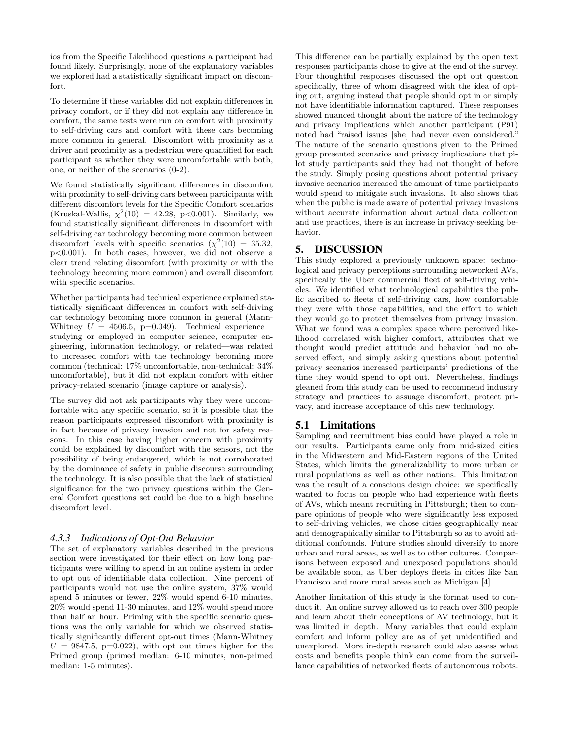ios from the Specific Likelihood questions a participant had found likely. Surprisingly, none of the explanatory variables we explored had a statistically significant impact on discomfort.

To determine if these variables did not explain differences in privacy comfort, or if they did not explain any difference in comfort, the same tests were run on comfort with proximity to self-driving cars and comfort with these cars becoming more common in general. Discomfort with proximity as a driver and proximity as a pedestrian were quantified for each participant as whether they were uncomfortable with both, one, or neither of the scenarios (0-2).

We found statistically significant differences in discomfort with proximity to self-driving cars between participants with different discomfort levels for the Specific Comfort scenarios (Kruskal-Wallis,  $\chi^2(10) = 42.28$ , p<0.001). Similarly, we found statistically significant differences in discomfort with self-driving car technology becoming more common between discomfort levels with specific scenarios  $(\chi^2(10) = 35.32,$ p<0.001). In both cases, however, we did not observe a clear trend relating discomfort (with proximity or with the technology becoming more common) and overall discomfort with specific scenarios.

Whether participants had technical experience explained statistically significant differences in comfort with self-driving car technology becoming more common in general (Mann-Whitney  $U = 4506.5$ , p=0.049). Technical experience studying or employed in computer science, computer engineering, information technology, or related—was related to increased comfort with the technology becoming more common (technical: 17% uncomfortable, non-technical: 34% uncomfortable), but it did not explain comfort with either privacy-related scenario (image capture or analysis).

The survey did not ask participants why they were uncomfortable with any specific scenario, so it is possible that the reason participants expressed discomfort with proximity is in fact because of privacy invasion and not for safety reasons. In this case having higher concern with proximity could be explained by discomfort with the sensors, not the possibility of being endangered, which is not corroborated by the dominance of safety in public discourse surrounding the technology. It is also possible that the lack of statistical significance for the two privacy questions within the General Comfort questions set could be due to a high baseline discomfort level.

### *4.3.3 Indications of Opt-Out Behavior*

The set of explanatory variables described in the previous section were investigated for their effect on how long participants were willing to spend in an online system in order to opt out of identifiable data collection. Nine percent of participants would not use the online system, 37% would spend 5 minutes or fewer, 22% would spend 6-10 minutes, 20% would spend 11-30 minutes, and 12% would spend more than half an hour. Priming with the specific scenario questions was the only variable for which we observed statistically significantly different opt-out times (Mann-Whitney  $U = 9847.5$ , p=0.022), with opt out times higher for the Primed group (primed median: 6-10 minutes, non-primed median: 1-5 minutes).

This difference can be partially explained by the open text responses participants chose to give at the end of the survey. Four thoughtful responses discussed the opt out question specifically, three of whom disagreed with the idea of opting out, arguing instead that people should opt in or simply not have identifiable information captured. These responses showed nuanced thought about the nature of the technology and privacy implications which another participant (P91) noted had "raised issues [she] had never even considered." The nature of the scenario questions given to the Primed group presented scenarios and privacy implications that pilot study participants said they had not thought of before the study. Simply posing questions about potential privacy invasive scenarios increased the amount of time participants would spend to mitigate such invasions. It also shows that when the public is made aware of potential privacy invasions without accurate information about actual data collection and use practices, there is an increase in privacy-seeking behavior.

### 5. DISCUSSION

This study explored a previously unknown space: technological and privacy perceptions surrounding networked AVs, specifically the Uber commercial fleet of self-driving vehicles. We identified what technological capabilities the public ascribed to fleets of self-driving cars, how comfortable they were with those capabilities, and the effort to which they would go to protect themselves from privacy invasion. What we found was a complex space where perceived likelihood correlated with higher comfort, attributes that we thought would predict attitude and behavior had no observed effect, and simply asking questions about potential privacy scenarios increased participants' predictions of the time they would spend to opt out. Nevertheless, findings gleaned from this study can be used to recommend industry strategy and practices to assuage discomfort, protect privacy, and increase acceptance of this new technology.

### 5.1 Limitations

Sampling and recruitment bias could have played a role in our results. Participants came only from mid-sized cities in the Midwestern and Mid-Eastern regions of the United States, which limits the generalizability to more urban or rural populations as well as other nations. This limitation was the result of a conscious design choice: we specifically wanted to focus on people who had experience with fleets of AVs, which meant recruiting in Pittsburgh; then to compare opinions of people who were significantly less exposed to self-driving vehicles, we chose cities geographically near and demographically similar to Pittsburgh so as to avoid additional confounds. Future studies should diversify to more urban and rural areas, as well as to other cultures. Comparisons between exposed and unexposed populations should be available soon, as Uber deploys fleets in cities like San Francisco and more rural areas such as Michigan [4].

Another limitation of this study is the format used to conduct it. An online survey allowed us to reach over 300 people and learn about their conceptions of AV technology, but it was limited in depth. Many variables that could explain comfort and inform policy are as of yet unidentified and unexplored. More in-depth research could also assess what costs and benefits people think can come from the surveillance capabilities of networked fleets of autonomous robots.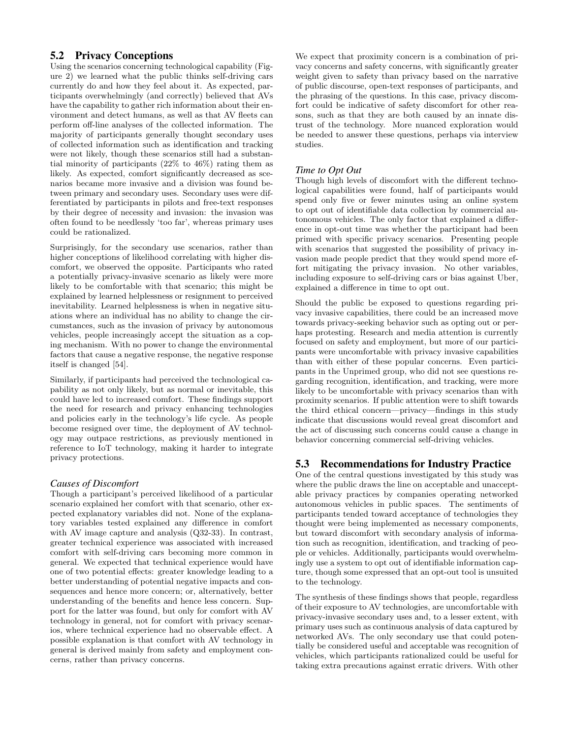# 5.2 Privacy Conceptions

Using the scenarios concerning technological capability (Figure 2) we learned what the public thinks self-driving cars currently do and how they feel about it. As expected, participants overwhelmingly (and correctly) believed that AVs have the capability to gather rich information about their environment and detect humans, as well as that AV fleets can perform off-line analyses of the collected information. The majority of participants generally thought secondary uses of collected information such as identification and tracking were not likely, though these scenarios still had a substantial minority of participants (22% to 46%) rating them as likely. As expected, comfort significantly decreased as scenarios became more invasive and a division was found between primary and secondary uses. Secondary uses were differentiated by participants in pilots and free-text responses by their degree of necessity and invasion: the invasion was often found to be needlessly 'too far', whereas primary uses could be rationalized.

Surprisingly, for the secondary use scenarios, rather than higher conceptions of likelihood correlating with higher discomfort, we observed the opposite. Participants who rated a potentially privacy-invasive scenario as likely were more likely to be comfortable with that scenario; this might be explained by learned helplessness or resignment to perceived inevitability. Learned helplessness is when in negative situations where an individual has no ability to change the circumstances, such as the invasion of privacy by autonomous vehicles, people increasingly accept the situation as a coping mechanism. With no power to change the environmental factors that cause a negative response, the negative response itself is changed [54].

Similarly, if participants had perceived the technological capability as not only likely, but as normal or inevitable, this could have led to increased comfort. These findings support the need for research and privacy enhancing technologies and policies early in the technology's life cycle. As people become resigned over time, the deployment of AV technology may outpace restrictions, as previously mentioned in reference to IoT technology, making it harder to integrate privacy protections.

### *Causes of Discomfort*

Though a participant's perceived likelihood of a particular scenario explained her comfort with that scenario, other expected explanatory variables did not. None of the explanatory variables tested explained any difference in comfort with AV image capture and analysis (Q32-33). In contrast, greater technical experience was associated with increased comfort with self-driving cars becoming more common in general. We expected that technical experience would have one of two potential effects: greater knowledge leading to a better understanding of potential negative impacts and consequences and hence more concern; or, alternatively, better understanding of the benefits and hence less concern. Support for the latter was found, but only for comfort with AV technology in general, not for comfort with privacy scenarios, where technical experience had no observable effect. A possible explanation is that comfort with AV technology in general is derived mainly from safety and employment concerns, rather than privacy concerns.

We expect that proximity concern is a combination of privacy concerns and safety concerns, with significantly greater weight given to safety than privacy based on the narrative of public discourse, open-text responses of participants, and the phrasing of the questions. In this case, privacy discomfort could be indicative of safety discomfort for other reasons, such as that they are both caused by an innate distrust of the technology. More nuanced exploration would be needed to answer these questions, perhaps via interview studies.

### *Time to Opt Out*

Though high levels of discomfort with the different technological capabilities were found, half of participants would spend only five or fewer minutes using an online system to opt out of identifiable data collection by commercial autonomous vehicles. The only factor that explained a difference in opt-out time was whether the participant had been primed with specific privacy scenarios. Presenting people with scenarios that suggested the possibility of privacy invasion made people predict that they would spend more effort mitigating the privacy invasion. No other variables, including exposure to self-driving cars or bias against Uber, explained a difference in time to opt out.

Should the public be exposed to questions regarding privacy invasive capabilities, there could be an increased move towards privacy-seeking behavior such as opting out or perhaps protesting. Research and media attention is currently focused on safety and employment, but more of our participants were uncomfortable with privacy invasive capabilities than with either of these popular concerns. Even participants in the Unprimed group, who did not see questions regarding recognition, identification, and tracking, were more likely to be uncomfortable with privacy scenarios than with proximity scenarios. If public attention were to shift towards the third ethical concern—privacy—findings in this study indicate that discussions would reveal great discomfort and the act of discussing such concerns could cause a change in behavior concerning commercial self-driving vehicles.

# 5.3 Recommendations for Industry Practice

One of the central questions investigated by this study was where the public draws the line on acceptable and unacceptable privacy practices by companies operating networked autonomous vehicles in public spaces. The sentiments of participants tended toward acceptance of technologies they thought were being implemented as necessary components, but toward discomfort with secondary analysis of information such as recognition, identification, and tracking of people or vehicles. Additionally, participants would overwhelmingly use a system to opt out of identifiable information capture, though some expressed that an opt-out tool is unsuited to the technology.

The synthesis of these findings shows that people, regardless of their exposure to AV technologies, are uncomfortable with privacy-invasive secondary uses and, to a lesser extent, with primary uses such as continuous analysis of data captured by networked AVs. The only secondary use that could potentially be considered useful and acceptable was recognition of vehicles, which participants rationalized could be useful for taking extra precautions against erratic drivers. With other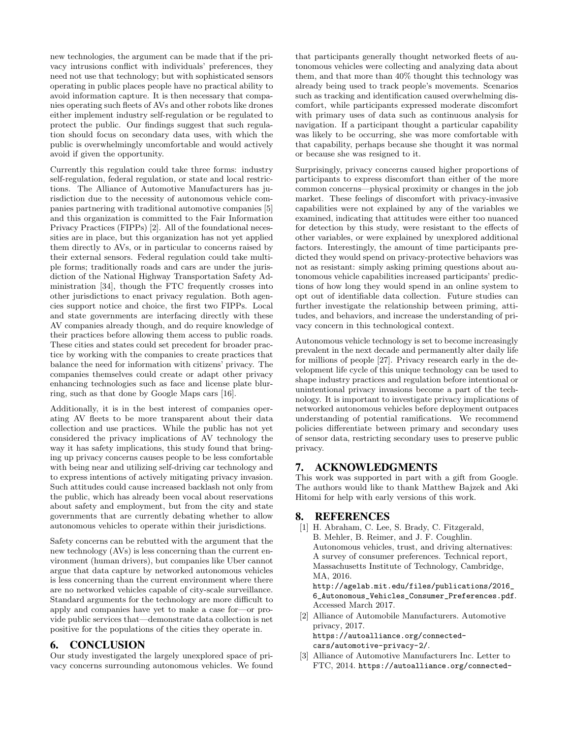new technologies, the argument can be made that if the privacy intrusions conflict with individuals' preferences, they need not use that technology; but with sophisticated sensors operating in public places people have no practical ability to avoid information capture. It is then necessary that companies operating such fleets of AVs and other robots like drones either implement industry self-regulation or be regulated to protect the public. Our findings suggest that such regulation should focus on secondary data uses, with which the public is overwhelmingly uncomfortable and would actively avoid if given the opportunity.

Currently this regulation could take three forms: industry self-regulation, federal regulation, or state and local restrictions. The Alliance of Automotive Manufacturers has jurisdiction due to the necessity of autonomous vehicle companies partnering with traditional automotive companies [5] and this organization is committed to the Fair Information Privacy Practices (FIPPs) [2]. All of the foundational necessities are in place, but this organization has not yet applied them directly to AVs, or in particular to concerns raised by their external sensors. Federal regulation could take multiple forms; traditionally roads and cars are under the jurisdiction of the National Highway Transportation Safety Administration [34], though the FTC frequently crosses into other jurisdictions to enact privacy regulation. Both agencies support notice and choice, the first two FIPPs. Local and state governments are interfacing directly with these AV companies already though, and do require knowledge of their practices before allowing them access to public roads. These cities and states could set precedent for broader practice by working with the companies to create practices that balance the need for information with citizens' privacy. The companies themselves could create or adapt other privacy enhancing technologies such as face and license plate blurring, such as that done by Google Maps cars [16].

Additionally, it is in the best interest of companies operating AV fleets to be more transparent about their data collection and use practices. While the public has not yet considered the privacy implications of AV technology the way it has safety implications, this study found that bringing up privacy concerns causes people to be less comfortable with being near and utilizing self-driving car technology and to express intentions of actively mitigating privacy invasion. Such attitudes could cause increased backlash not only from the public, which has already been vocal about reservations about safety and employment, but from the city and state governments that are currently debating whether to allow autonomous vehicles to operate within their jurisdictions.

Safety concerns can be rebutted with the argument that the new technology (AVs) is less concerning than the current environment (human drivers), but companies like Uber cannot argue that data capture by networked autonomous vehicles is less concerning than the current environment where there are no networked vehicles capable of city-scale surveillance. Standard arguments for the technology are more difficult to apply and companies have yet to make a case for—or provide public services that—demonstrate data collection is net positive for the populations of the cities they operate in.

# 6. CONCLUSION

Our study investigated the largely unexplored space of privacy concerns surrounding autonomous vehicles. We found that participants generally thought networked fleets of autonomous vehicles were collecting and analyzing data about them, and that more than 40% thought this technology was already being used to track people's movements. Scenarios such as tracking and identification caused overwhelming discomfort, while participants expressed moderate discomfort with primary uses of data such as continuous analysis for navigation. If a participant thought a particular capability was likely to be occurring, she was more comfortable with that capability, perhaps because she thought it was normal or because she was resigned to it.

Surprisingly, privacy concerns caused higher proportions of participants to express discomfort than either of the more common concerns—physical proximity or changes in the job market. These feelings of discomfort with privacy-invasive capabilities were not explained by any of the variables we examined, indicating that attitudes were either too nuanced for detection by this study, were resistant to the effects of other variables, or were explained by unexplored additional factors. Interestingly, the amount of time participants predicted they would spend on privacy-protective behaviors was not as resistant: simply asking priming questions about autonomous vehicle capabilities increased participants' predictions of how long they would spend in an online system to opt out of identifiable data collection. Future studies can further investigate the relationship between priming, attitudes, and behaviors, and increase the understanding of privacy concern in this technological context.

Autonomous vehicle technology is set to become increasingly prevalent in the next decade and permanently alter daily life for millions of people [27]. Privacy research early in the development life cycle of this unique technology can be used to shape industry practices and regulation before intentional or unintentional privacy invasions become a part of the technology. It is important to investigate privacy implications of networked autonomous vehicles before deployment outpaces understanding of potential ramifications. We recommend policies differentiate between primary and secondary uses of sensor data, restricting secondary uses to preserve public privacy.

### 7. ACKNOWLEDGMENTS

This work was supported in part with a gift from Google. The authors would like to thank Matthew Bajzek and Aki Hitomi for help with early versions of this work.

# 8. REFERENCES

[1] H. Abraham, C. Lee, S. Brady, C. Fitzgerald, B. Mehler, B. Reimer, and J. F. Coughlin. Autonomous vehicles, trust, and driving alternatives: A survey of consumer preferences. Technical report, Massachusetts Institute of Technology, Cambridge, MA, 2016. http://agelab.mit.edu/files/publications/2016\_ 6\_Autonomous\_Vehicles\_Consumer\_Preferences.pdf. Accessed March 2017. [2] Alliance of Automobile Manufacturers. Automotive privacy, 2017.

https://autoalliance.org/connectedcars/automotive-privacy-2/.

[3] Alliance of Automotive Manufacturers Inc. Letter to FTC, 2014. https://autoalliance.org/connected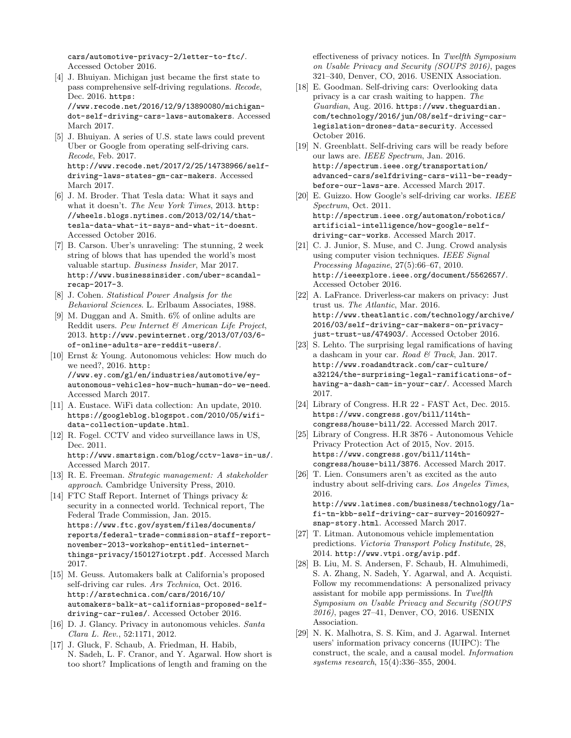cars/automotive-privacy-2/letter-to-ftc/. Accessed October 2016.

- [4] J. Bhuiyan. Michigan just became the first state to pass comprehensive self-driving regulations. Recode, Dec. 2016. https: //www.recode.net/2016/12/9/13890080/michigandot-self-driving-cars-laws-automakers. Accessed March 2017.
- [5] J. Bhuiyan. A series of U.S. state laws could prevent Uber or Google from operating self-driving cars. Recode, Feb. 2017. http://www.recode.net/2017/2/25/14738966/selfdriving-laws-states-gm-car-makers. Accessed March 2017.
- [6] J. M. Broder. That Tesla data: What it says and what it doesn't. The New York Times, 2013. http: //wheels.blogs.nytimes.com/2013/02/14/thattesla-data-what-it-says-and-what-it-doesnt. Accessed October 2016.
- [7] B. Carson. Uber's unraveling: The stunning, 2 week string of blows that has upended the world's most valuable startup. Business Insider, Mar 2017. http://www.businessinsider.com/uber-scandalrecap-2017-3.
- [8] J. Cohen. Statistical Power Analysis for the Behavioral Sciences. L. Erlbaum Associates, 1988.
- [9] M. Duggan and A. Smith. 6% of online adults are Reddit users. Pew Internet & American Life Project, 2013. http://www.pewinternet.org/2013/07/03/6 of-online-adults-are-reddit-users/.
- [10] Ernst & Young. Autonomous vehicles: How much do we need?, 2016. http: //www.ey.com/gl/en/industries/automotive/eyautonomous-vehicles-how-much-human-do-we-need. Accessed March 2017.
- [11] A. Eustace. WiFi data collection: An update, 2010. https://googleblog.blogspot.com/2010/05/wifidata-collection-update.html.
- [12] R. Fogel. CCTV and video surveillance laws in US, Dec. 2011. http://www.smartsign.com/blog/cctv-laws-in-us/. Accessed March 2017.
- [13] R. E. Freeman. Strategic management: A stakeholder approach. Cambridge University Press, 2010.
- [14] FTC Staff Report. Internet of Things privacy & security in a connected world. Technical report, The Federal Trade Commission, Jan. 2015. https://www.ftc.gov/system/files/documents/ reports/federal-trade-commission-staff-reportnovember-2013-workshop-entitled-internetthings-privacy/150127iotrpt.pdf. Accessed March 2017.
- [15] M. Geuss. Automakers balk at California's proposed self-driving car rules. Ars Technica, Oct. 2016. http://arstechnica.com/cars/2016/10/ automakers-balk-at-californias-proposed-selfdriving-car-rules/. Accessed October 2016.
- [16] D. J. Glancy. Privacy in autonomous vehicles. Santa Clara L. Rev., 52:1171, 2012.
- [17] J. Gluck, F. Schaub, A. Friedman, H. Habib, N. Sadeh, L. F. Cranor, and Y. Agarwal. How short is too short? Implications of length and framing on the

effectiveness of privacy notices. In Twelfth Symposium on Usable Privacy and Security (SOUPS 2016), pages 321–340, Denver, CO, 2016. USENIX Association.

- [18] E. Goodman. Self-driving cars: Overlooking data privacy is a car crash waiting to happen. The Guardian, Aug. 2016. https://www.theguardian. com/technology/2016/jun/08/self-driving-carlegislation-drones-data-security. Accessed October 2016.
- [19] N. Greenblatt. Self-driving cars will be ready before our laws are. IEEE Spectrum, Jan. 2016. http://spectrum.ieee.org/transportation/ advanced-cars/selfdriving-cars-will-be-readybefore-our-laws-are. Accessed March 2017.
- [20] E. Guizzo. How Google's self-driving car works. *IEEE* Spectrum, Oct. 2011. http://spectrum.ieee.org/automaton/robotics/ artificial-intelligence/how-google-selfdriving-car-works. Accessed March 2017.
- [21] C. J. Junior, S. Muse, and C. Jung. Crowd analysis using computer vision techniques. IEEE Signal Processing Magazine, 27(5):66–67, 2010. http://ieeexplore.ieee.org/document/5562657/. Accessed October 2016.
- [22] A. LaFrance. Driverless-car makers on privacy: Just trust us. The Atlantic, Mar. 2016. http://www.theatlantic.com/technology/archive/ 2016/03/self-driving-car-makers-on-privacyjust-trust-us/474903/. Accessed October 2016.
- [23] S. Lehto. The surprising legal ramifications of having a dashcam in your car. Road  $\mathcal C$  Track, Jan. 2017. http://www.roadandtrack.com/car-culture/ a32124/the-surprising-legal-ramifications-ofhaving-a-dash-cam-in-your-car/. Accessed March 2017.
- [24] Library of Congress. H.R 22 FAST Act, Dec. 2015. https://www.congress.gov/bill/114thcongress/house-bill/22. Accessed March 2017.
- [25] Library of Congress. H.R 3876 Autonomous Vehicle Privacy Protection Act of 2015, Nov. 2015. https://www.congress.gov/bill/114thcongress/house-bill/3876. Accessed March 2017.
- [26] T. Lien. Consumers aren't as excited as the auto industry about self-driving cars. Los Angeles Times, 2016. http://www.latimes.com/business/technology/lafi-tn-kbb-self-driving-car-survey-20160927-
- snap-story.html. Accessed March 2017. [27] T. Litman. Autonomous vehicle implementation predictions. Victoria Transport Policy Institute, 28,
- 2014. http://www.vtpi.org/avip.pdf.
- [28] B. Liu, M. S. Andersen, F. Schaub, H. Almuhimedi, S. A. Zhang, N. Sadeh, Y. Agarwal, and A. Acquisti. Follow my recommendations: A personalized privacy assistant for mobile app permissions. In Twelfth Symposium on Usable Privacy and Security (SOUPS 2016), pages 27–41, Denver, CO, 2016. USENIX Association.
- [29] N. K. Malhotra, S. S. Kim, and J. Agarwal. Internet users' information privacy concerns (IUIPC): The construct, the scale, and a causal model. Information systems research, 15(4):336–355, 2004.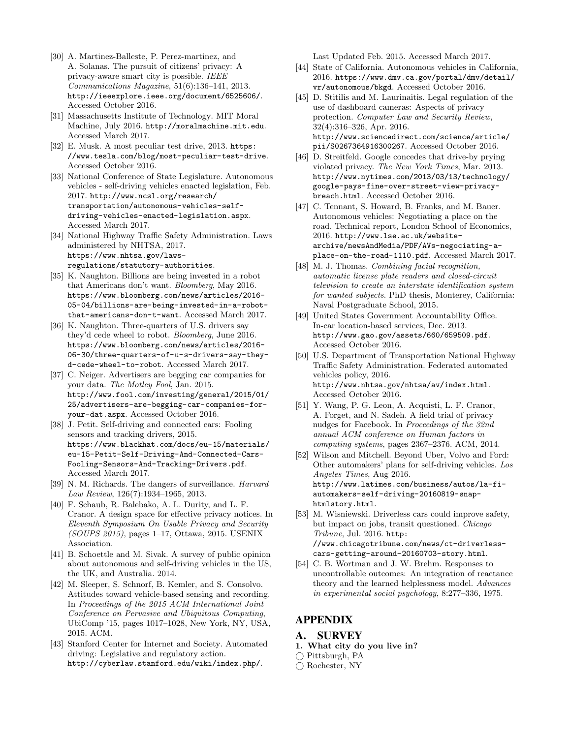- [30] A. Martinez-Balleste, P. Perez-martinez, and A. Solanas. The pursuit of citizens' privacy: A privacy-aware smart city is possible. IEEE Communications Magazine, 51(6):136–141, 2013. http://ieeexplore.ieee.org/document/6525606/. Accessed October 2016.
- [31] Massachusetts Institute of Technology. MIT Moral Machine, July 2016. http://moralmachine.mit.edu. Accessed March 2017.
- [32] E. Musk. A most peculiar test drive, 2013. https: //www.tesla.com/blog/most-peculiar-test-drive. Accessed October 2016.
- [33] National Conference of State Legislature. Autonomous vehicles - self-driving vehicles enacted legislation, Feb. 2017. http://www.ncsl.org/research/ transportation/autonomous-vehicles-selfdriving-vehicles-enacted-legislation.aspx. Accessed March 2017.
- [34] National Highway Traffic Safety Administration. Laws administered by NHTSA, 2017. https://www.nhtsa.gov/lawsregulations/statutory-authorities.
- [35] K. Naughton. Billions are being invested in a robot that Americans don't want. Bloomberg, May 2016. https://www.bloomberg.com/news/articles/2016- 05-04/billions-are-being-invested-in-a-robotthat-americans-don-t-want. Accessed March 2017.
- [36] K. Naughton. Three-quarters of U.S. drivers say they'd cede wheel to robot. Bloomberg, June 2016. https://www.bloomberg.com/news/articles/2016- 06-30/three-quarters-of-u-s-drivers-say-theyd-cede-wheel-to-robot. Accessed March 2017.
- [37] C. Neiger. Advertisers are begging car companies for your data. The Motley Fool, Jan. 2015. http://www.fool.com/investing/general/2015/01/ 25/advertisers-are-begging-car-companies-foryour-dat.aspx. Accessed October 2016.
- [38] J. Petit. Self-driving and connected cars: Fooling sensors and tracking drivers, 2015. https://www.blackhat.com/docs/eu-15/materials/ eu-15-Petit-Self-Driving-And-Connected-Cars-Fooling-Sensors-And-Tracking-Drivers.pdf. Accessed March 2017.
- [39] N. M. Richards. The dangers of surveillance. Harvard Law Review, 126(7):1934–1965, 2013.
- [40] F. Schaub, R. Balebako, A. L. Durity, and L. F. Cranor. A design space for effective privacy notices. In Eleventh Symposium On Usable Privacy and Security (SOUPS 2015), pages 1–17, Ottawa, 2015. USENIX Association.
- [41] B. Schoettle and M. Sivak. A survey of public opinion about autonomous and self-driving vehicles in the US, the UK, and Australia. 2014.
- [42] M. Sleeper, S. Schnorf, B. Kemler, and S. Consolvo. Attitudes toward vehicle-based sensing and recording. In Proceedings of the 2015 ACM International Joint Conference on Pervasive and Ubiquitous Computing, UbiComp '15, pages 1017–1028, New York, NY, USA, 2015. ACM.
- [43] Stanford Center for Internet and Society. Automated driving: Legislative and regulatory action. http://cyberlaw.stanford.edu/wiki/index.php/.

Last Updated Feb. 2015. Accessed March 2017.

- [44] State of California. Autonomous vehicles in California, 2016. https://www.dmv.ca.gov/portal/dmv/detail/ vr/autonomous/bkgd. Accessed October 2016.
- [45] D. Stitilis and M. Laurinaitis. Legal regulation of the use of dashboard cameras: Aspects of privacy protection. Computer Law and Security Review, 32(4):316–326, Apr. 2016. http://www.sciencedirect.com/science/article/ pii/S0267364916300267. Accessed October 2016.
- [46] D. Streitfeld. Google concedes that drive-by prying violated privacy. The New York Times, Mar. 2013. http://www.nytimes.com/2013/03/13/technology/ google-pays-fine-over-street-view-privacybreach.html. Accessed October 2016.
- [47] C. Tennant, S. Howard, B. Franks, and M. Bauer. Autonomous vehicles: Negotiating a place on the road. Technical report, London School of Economics, 2016. http://www.lse.ac.uk/websitearchive/newsAndMedia/PDF/AVs-negociating-aplace-on-the-road-1110.pdf. Accessed March 2017.
- [48] M. J. Thomas. Combining facial recognition, automatic license plate readers and closed-circuit television to create an interstate identification system for wanted subjects. PhD thesis, Monterey, California: Naval Postgraduate School, 2015.
- [49] United States Government Accountability Office. In-car location-based services, Dec. 2013. http://www.gao.gov/assets/660/659509.pdf. Accessed October 2016.
- [50] U.S. Department of Transportation National Highway Traffic Safety Administration. Federated automated vehicles policy, 2016. http://www.nhtsa.gov/nhtsa/av/index.html. Accessed October 2016.
- [51] Y. Wang, P. G. Leon, A. Acquisti, L. F. Cranor, A. Forget, and N. Sadeh. A field trial of privacy nudges for Facebook. In Proceedings of the 32nd annual ACM conference on Human factors in computing systems, pages 2367–2376. ACM, 2014.
- [52] Wilson and Mitchell. Beyond Uber, Volvo and Ford: Other automakers' plans for self-driving vehicles. Los Angeles Times, Aug 2016. http://www.latimes.com/business/autos/la-fiautomakers-self-driving-20160819-snaphtmlstory.html.
- [53] M. Wisniewski. Driverless cars could improve safety, but impact on jobs, transit questioned. Chicago Tribune, Jul. 2016. http: //www.chicagotribune.com/news/ct-driverlesscars-getting-around-20160703-story.html.
- [54] C. B. Wortman and J. W. Brehm. Responses to uncontrollable outcomes: An integration of reactance theory and the learned helplessness model. Advances in experimental social psychology, 8:277–336, 1975.

# APPENDIX

- A. SURVEY
- 1. What city do you live in?
- $\bigcap$  Pittsburgh, PA
- Rochester, NY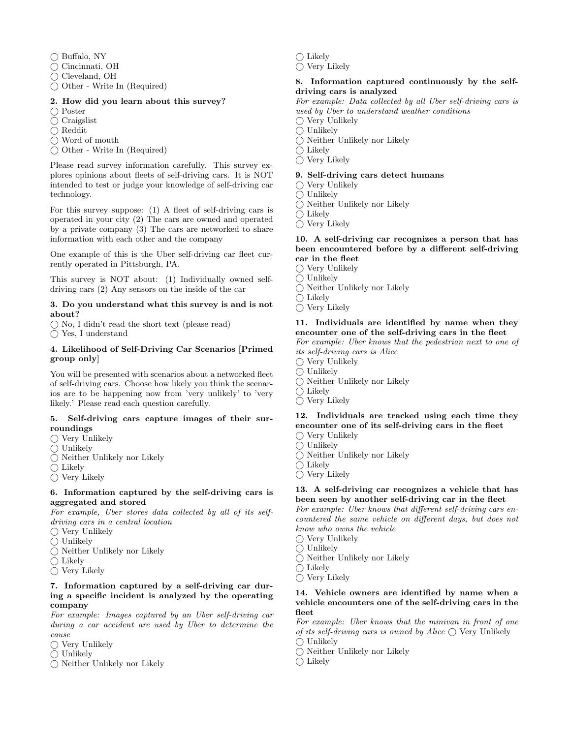$\bigcap$  Buffalo, NY

Cincinnati, OH

- Cleveland, OH
- $\bigcap$  Other Write In (Required)

#### 2. How did you learn about this survey?

- ◯ Poster
- $\bigcirc$  Craigslist
- $\bigcap$  Reddit
- ◯ Word of mouth
- Other Write In (Required)

Please read survey information carefully. This survey explores opinions about fleets of self-driving cars. It is NOT intended to test or judge your knowledge of self-driving car technology.

For this survey suppose: (1) A fleet of self-driving cars is operated in your city (2) The cars are owned and operated by a private company (3) The cars are networked to share information with each other and the company

One example of this is the Uber self-driving car fleet currently operated in Pittsburgh, PA.

This survey is NOT about: (1) Individually owned selfdriving cars (2) Any sensors on the inside of the car

#### 3. Do you understand what this survey is and is not about?

 $\bigcirc$  No, I didn't read the short text (please read)

Yes, I understand

#### 4. Likelihood of Self-Driving Car Scenarios [Primed group only]

You will be presented with scenarios about a networked fleet of self-driving cars. Choose how likely you think the scenarios are to be happening now from 'very unlikely' to 'very likely.' Please read each question carefully.

#### 5. Self-driving cars capture images of their surroundings

- $\bigcirc$  Very Unlikely
- $\bigcirc$  Unlikely
- Neither Unlikely nor Likely
- $\bigcirc$  Likely
- $\bigcirc$  Very Likely

### 6. Information captured by the self-driving cars is aggregated and stored

For example, Uber stores data collected by all of its selfdriving cars in a central location

- $\bigcirc$  Very Unlikely
- $\bigcirc$  Unlikely
- $\bigcirc$  Neither Unlikely nor Likely
- $\bigcap$  Likely
- $\bigcap$  Very Likely

### 7. Information captured by a self-driving car during a specific incident is analyzed by the operating company

For example: Images captured by an Uber self-driving car during a car accident are used by Uber to determine the cause

- Very Unlikely
- $\bigcirc$  Unlikely
- $\bigcap$  Neither Unlikely nor Likely

 $\bigcap$  Likely

 $\bigcap$  Very Likely

### 8. Information captured continuously by the selfdriving cars is analyzed

For example: Data collected by all Uber self-driving cars is used by Uber to understand weather conditions

 $\bigcap$  Very Unlikely

- $\bigcirc$  Unlikely
- $\bigcirc$  Neither Unlikely nor Likely
- $\bigcirc$  Likely
- $\bigcirc$  Very Likely

### 9. Self-driving cars detect humans

 $\bigcap$  Very Unlikely

- $\bigcirc$  Unlikely
- $\bigcap$  Neither Unlikely nor Likely
- $\bigcap$  Likely
- $\bigcirc$  Very Likely

#### 10. A self-driving car recognizes a person that has been encountered before by a different self-driving car in the fleet

- $\bigcap$  Very Unlikely
- $\bigcirc$  Unlikely
- Neither Unlikely nor Likely
- $\bigcirc$  Likely
- $\bigcirc$  Very Likely

# 11. Individuals are identified by name when they encounter one of the self-driving cars in the fleet

For example: Uber knows that the pedestrian next to one of its self-driving cars is Alice

- $\bigcap$  Very Unlikely
- $\bigcirc$  Unlikely
- $\bigcap$  Neither Unlikely nor Likely
- $\bigcap$  Likely
- $\bigcirc$  Very Likely

# 12. Individuals are tracked using each time they encounter one of its self-driving cars in the fleet

- $\bigcap$  Very Unlikely  $\bigcirc$  Unlikely
- Neither Unlikely nor Likely
- 
- $\bigcap$  Likely
- $\bigcirc$  Very Likely

# 13. A self-driving car recognizes a vehicle that has been seen by another self-driving car in the fleet

For example: Uber knows that different self-driving cars encountered the same vehicle on different days, but does not know who owns the vehicle

- $\bigcap$  Very Unlikely
- $\bigcirc$  Unlikely
- $\bigcap$  Neither Unlikely nor Likely
- $\bigcap$  Likely
- $\bigcirc$  Very Likely

#### 14. Vehicle owners are identified by name when a vehicle encounters one of the self-driving cars in the fleet

For example: Uber knows that the minivan in front of one of its self-driving cars is owned by Alice  $\bigcap$  Very Unlikely  $\bigcirc$  Unlikely

- Neither Unlikely nor Likely
- $\bigcirc$  Likely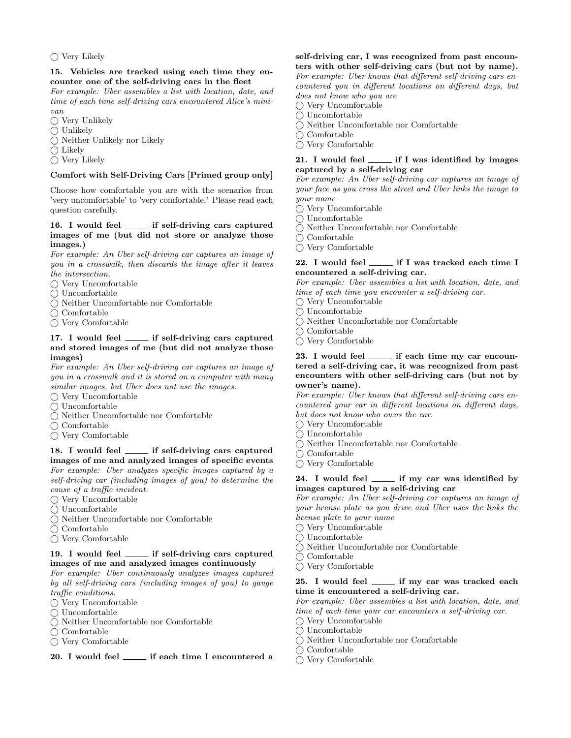#### $\bigcap$  Very Likely

#### 15. Vehicles are tracked using each time they encounter one of the self-driving cars in the fleet

For example: Uber assembles a list with location, date, and time of each time self-driving cars encountered Alice's minivan

- $\bigcirc$  Very Unlikely
- $\bigcirc$  Unlikely
- $\bigcap$  Neither Unlikely nor Likely
- $\bigcirc$  Likely
- $\bigcirc$  Very Likely

### Comfort with Self-Driving Cars [Primed group only]

Choose how comfortable you are with the scenarios from 'very uncomfortable' to 'very comfortable.' Please read each question carefully.

#### 16. I would feel \_\_\_\_\_ if self-driving cars captured images of me (but did not store or analyze those images.)

For example: An Uber self-driving car captures an image of you in a crosswalk, then discards the image after it leaves the intersection.

- $\bigcap$  Very Uncomfortable
- $\bigcirc$  Uncomfortable
- $\bigcirc$  Neither Uncomfortable nor Comfortable
- $\bigcirc$  Comfortable
- $\bigcirc$  Very Comfortable

#### 17. I would feel \_\_\_\_\_ if self-driving cars captured and stored images of me (but did not analyze those images)

For example: An Uber self-driving car captures an image of you in a crosswalk and it is stored on a computer with many similar images, but Uber does not use the images.

- $\bigcap$  Very Uncomfortable
- $\bigcap$  Uncomfortable
- Neither Uncomfortable nor Comfortable
- $\bigcap$  Comfortable
- $\bigcap$  Very Comfortable

### 18. I would feel \_\_\_\_\_ if self-driving cars captured images of me and analyzed images of specific events For example: Uber analyzes specific images captured by a

self-driving car (including images of you) to determine the cause of a traffic incident.  $\bigcap$  Very Uncomfortable

- 
- $\bigcap$  Uncomfortable
- Neither Uncomfortable nor Comfortable
- $\bigcirc$  Comfortable
- $\bigcirc$  Very Comfortable

#### 19. I would feel <u>in self-driving</u> cars captured images of me and analyzed images continuously

For example: Uber continuously analyzes images captured by all self-driving cars (including images of you) to gauge traffic conditions.

- $\bigcap$  Very Uncomfortable
- $\bigcap$  Uncomfortable
- $\bigcap$  Neither Uncomfortable nor Comfortable
- $\bigcap$  Comfortable
- Very Comfortable

### 20. I would feel \_\_\_\_\_ if each time I encountered a

### self-driving car, I was recognized from past encounters with other self-driving cars (but not by name).

For example: Uber knows that different self-driving cars encountered you in different locations on different days, but does not know who you are

 $\bigcap$  Very Uncomfortable

- Uncomfortable
- Neither Uncomfortable nor Comfortable
- $\bigcirc$  Comfortable
- $\bigcirc$  Very Comfortable

### 21. I would feel \_\_\_\_\_\_ if I was identified by images captured by a self-driving car

For example: An Uber self-driving car captures an image of your face as you cross the street and Uber links the image to your name

- $\bigcap$  Very Uncomfortable
- Uncomfortable
- $\bigcap$  Neither Uncomfortable nor Comfortable
- $\bigcap$  Comfortable
- $\bigcap$  Very Comfortable

#### 22. I would feel \_\_\_\_\_ if I was tracked each time I encountered a self-driving car.

For example: Uber assembles a list with location, date, and time of each time you encounter a self-driving car.

- $\bigcirc$  Very Uncomfortable
- Uncomfortable
- Neither Uncomfortable nor Comfortable
- $\bigcirc$  Comfortable
- $\bigcap$  Very Comfortable

### 23. I would feel \_\_\_\_\_\_ if each time my car encountered a self-driving car, it was recognized from past encounters with other self-driving cars (but not by owner's name).

For example: Uber knows that different self-driving cars encountered your car in different locations on different days, but does not know who owns the car.

- $\bigcirc$  Very Uncomfortable
- $\bigcirc$  Uncomfortable
- $\bigcirc$  Neither Uncomfortable nor Comfortable
- $\bigcirc$  Comfortable
- $\bigcap$  Very Comfortable

#### 24. I would feel <u>in if</u> my car was identified by images captured by a self-driving car

For example: An Uber self-driving car captures an image of your license plate as you drive and Uber uses the links the license plate to your name

- $\bigcirc$  Very Uncomfortable
- $\bigcirc$  Uncomfortable
- Neither Uncomfortable nor Comfortable
- $\bigcirc$  Comfortable
- $\bigcap$  Very Comfortable

### 25. I would feel \_\_\_\_\_ if my car was tracked each time it encountered a self-driving car.

For example: Uber assembles a list with location, date, and time of each time your car encounters a self-driving car.

- Very Uncomfortable
- $\bigcirc$  Uncomfortable
- Neither Uncomfortable nor Comfortable
- $\bigcirc$  Comfortable
- $\bigcap$  Very Comfortable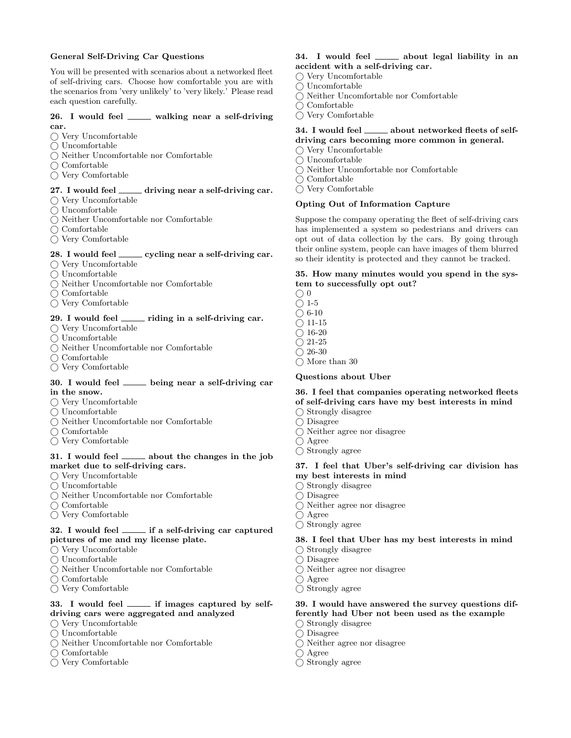### General Self-Driving Car Questions

You will be presented with scenarios about a networked fleet of self-driving cars. Choose how comfortable you are with the scenarios from 'very unlikely' to 'very likely.' Please read each question carefully.

#### 26. I would feel \_\_\_\_ walking near a self-driving car.

- $\bigcirc$  Very Uncomfortable
- $\bigcap$  Uncomfortable
- $\bigcap$  Neither Uncomfortable nor Comfortable
- $\bigcap$  Comfortable
- $\bigcap$  Very Comfortable

### 27. I would feel  $\frac{d}{dx}$  driving near a self-driving car.

- $\bigcap$  Very Uncomfortable
- $\bigcap$  Uncomfortable
- Neither Uncomfortable nor Comfortable
- $\bigcap$  Comfortable
- $\bigcirc$  Very Comfortable

#### 28. I would feel \_\_\_\_\_\_ cycling near a self-driving car.

- $\bigcap$  Very Uncomfortable
- $\bigcap$  Uncomfortable
- $\bigcirc$  Neither Uncomfortable nor Comfortable
- $\bigcirc$  Comfortable
- $\bigcirc$  Very Comfortable

#### 29. I would feel \_\_\_\_ riding in a self-driving car.

- $\bigcirc$  Very Uncomfortable
- $\bigcirc$ Uncomfortable
- $\bigcap$  Neither Uncomfortable nor Comfortable
- $\bigcap$  Comfortable
- $\bigcap$  Very Comfortable

#### 30. I would feel \_\_\_\_ being near a self-driving car in the snow.

- $\bigcirc$  Very Uncomfortable
- $\bigcap$  Uncomfortable
- Neither Uncomfortable nor Comfortable
- $\bigcap$  Comfortable
- Very Comfortable

#### 31. I would feel \_\_\_\_\_ about the changes in the job market due to self-driving cars.

- $\bigcirc$  Very Uncomfortable
- $\bigcirc$  Uncomfortable
- Neither Uncomfortable nor Comfortable
- $\bigcirc$  Comfortable
- $\bigcirc$  Very Comfortable

### $32.$  I would feel  $\frac{1}{12}$  if a self-driving car captured pictures of me and my license plate.

- $\bigcirc$  Very Uncomfortable
- $\bigcap$  Uncomfortable
- $\bigcap$  Neither Uncomfortable nor Comfortable
- $\bigcap$  Comfortable
- $\bigcap$  Very Comfortable

#### 33. I would feel \_\_\_\_\_ if images captured by selfdriving cars were aggregated and analyzed

- Very Uncomfortable
- $\bigcap$  Uncomfortable
- Neither Uncomfortable nor Comfortable
- $\bigcap$  Comfortable
- $\bigcap$  Very Comfortable

### 34. I would feel \_\_\_\_\_\_ about legal liability in an accident with a self-driving car.

- $\bigcap$  Very Uncomfortable
- $\bigcap$  Uncomfortable
- Neither Uncomfortable nor Comfortable
- $\bigcap$  Comfortable
- $\bigcirc$  Very Comfortable

### 34. I would feel \_\_\_\_\_\_ about networked fleets of selfdriving cars becoming more common in general.

- $\bigcirc$  Very Uncomfortable
- $\bigcirc$  Uncomfortable
- Neither Uncomfortable nor Comfortable
- $\bigcirc$  Comfortable
- $\bigcap$  Very Comfortable

### Opting Out of Information Capture

Suppose the company operating the fleet of self-driving cars has implemented a system so pedestrians and drivers can opt out of data collection by the cars. By going through their online system, people can have images of them blurred so their identity is protected and they cannot be tracked.

#### 35. How many minutes would you spend in the system to successfully opt out?

- $\bigcirc$  0  $\bigcirc$  1-5
- $\bigcirc$  6-10
- $\bigcirc$  11-15
- $()$  16-20
- $\bigcirc$  21-25
- $\bigcirc$  26-30
- $\bigcap$  More than 30

#### Questions about Uber

#### 36. I feel that companies operating networked fleets of self-driving cars have my best interests in mind  $\bigcirc$  Strongly disagree

- $\bigcap$  Disagree
- Neither agree nor disagree
- Agree
- Strongly agree

### 37. I feel that Uber's self-driving car division has my best interests in mind

- $\bigcirc$  Strongly disagree
- Disagree
- Neither agree nor disagree
- Agree
- $\bigcirc$  Strongly agree

### 38. I feel that Uber has my best interests in mind

- $\bigcirc$  Strongly disagree
- $\bigcirc$  Disagree
- $\bigcirc$  Neither agree nor disagree
- Agree
- Strongly agree

#### 39. I would have answered the survey questions differently had Uber not been used as the example

- $\bigcirc$  Strongly disagree
- Disagree
- Neither agree nor disagree
- Agree
- $\bigcap$  Strongly agree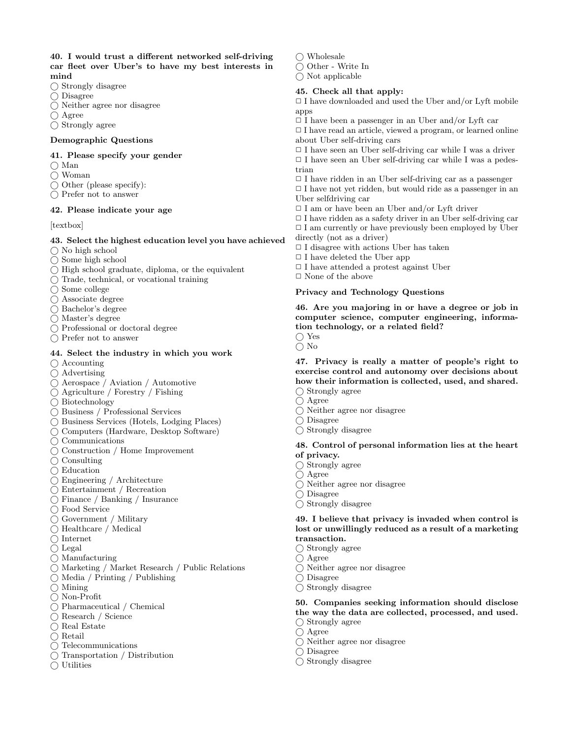### 40. I would trust a different networked self-driving car fleet over Uber's to have my best interests in mind

- $\bigcap$  Strongly disagree
- $\bigcap$  Disagree
- $\bigcap$  Neither agree nor disagree
- Agree
- $\bigcirc$  Strongly agree

#### Demographic Questions

#### 41. Please specify your gender

- $\bigcap$  Man
- Woman
- $\bigcap$  Other (please specify):
- $\bigcap$  Prefer not to answer

### 42. Please indicate your age

#### [textbox]

#### 43. Select the highest education level you have achieved

- $\bigcap$  No high school
- $\bigcap$  Some high school
- $\bigcap$  High school graduate, diploma, or the equivalent
- $\bigcap$  Trade, technical, or vocational training
- $\bigcap$  Some college
- Associate degree
- Bachelor's degree
- Master's degree
- Professional or doctoral degree
- Prefer not to answer

#### 44. Select the industry in which you work

- $\bigcap$  Accounting
- $\bigcap$  Advertising
- Aerospace / Aviation / Automotive
- Agriculture / Forestry / Fishing
- Biotechnology
- Business / Professional Services
- Business Services (Hotels, Lodging Places)
- Computers (Hardware, Desktop Software)
- $\bigcap$  Communications
- $\bigcap$  Construction / Home Improvement
- $\bigcap$  Consulting
- $\bigcap$  Education
- Engineering / Architecture
- Entertainment / Recreation
- Finance / Banking / Insurance
- Food Service
- Government / Military
- Healthcare / Medical
- $\bigcap$  Internet
- $\bigcirc$  Legal
- $\bigcap$  Manufacturing
- Marketing / Market Research / Public Relations
- $\bigcirc$  Media / Printing / Publishing
- $\bigcap$  Mining
- Non-Profit
- Pharmaceutical / Chemical
- Research / Science
- $\bigcirc$  Real Estate
- $\bigcirc$  Retail
- Telecommunications
- Transportation / Distribution
- $\bigcirc$  Utilities

 $\bigcirc$  Wholesale

 $\bigcirc$  Other - Write In

 $\bigcap$  Not applicable

#### 45. Check all that apply:

 $\Box$  I have downloaded and used the Uber and/or Lyft mobile apps

 $\Box$  I have been a passenger in an Uber and/or Lyft car

 $\Box$  I have read an article, viewed a program, or learned online about Uber self-driving cars

 $\Box$  I have seen an Uber self-driving car while I was a driver  $\Box$  I have seen an Uber self-driving car while I was a pedestrian

 $\Box$  I have ridden in an Uber self-driving car as a passenger

 $\Box$  I have not yet ridden, but would ride as a passenger in an Uber selfdriving car

- $\Box$  I am or have been an Uber and/or Lyft driver
- $\Box$  I have ridden as a safety driver in an Uber self-driving car
- $\Box$  I am currently or have previously been employed by Uber directly (not as a driver)
- $\Box$  I disagree with actions Uber has taken
- $\Box$  I have deleted the Uber app
- ✷ I have attended a protest against Uber
- $\Box$  <br> None of the above

#### Privacy and Technology Questions

46. Are you majoring in or have a degree or job in computer science, computer engineering, information technology, or a related field?

Yes

 $\bigcap$  No

47. Privacy is really a matter of people's right to exercise control and autonomy over decisions about how their information is collected, used, and shared.  $\bigcap$  Strongly agree

- Agree
- Neither agree nor disagree
- $\bigcap$  Disagree
- $\bigcirc$  Strongly disagree

#### 48. Control of personal information lies at the heart of privacy.

- $\bigcap$  Strongly agree
- $\bigcap$  Agree
- Neither agree nor disagree
- Disagree
- $\bigcirc$  Strongly disagree

#### 49. I believe that privacy is invaded when control is lost or unwillingly reduced as a result of a marketing transaction.

- $\bigcirc$  Strongly agree
- $\bigcap$  Agree
- Neither agree nor disagree
- $\bigcap$  Disagree
- $\bigcap$  Strongly disagree

### 50. Companies seeking information should disclose the way the data are collected, processed, and used.

 $\bigcap$  Strongly agree

 $\bigcirc$  Strongly disagree

- $\bigcap$  Agree
- Neither agree nor disagree Disagree